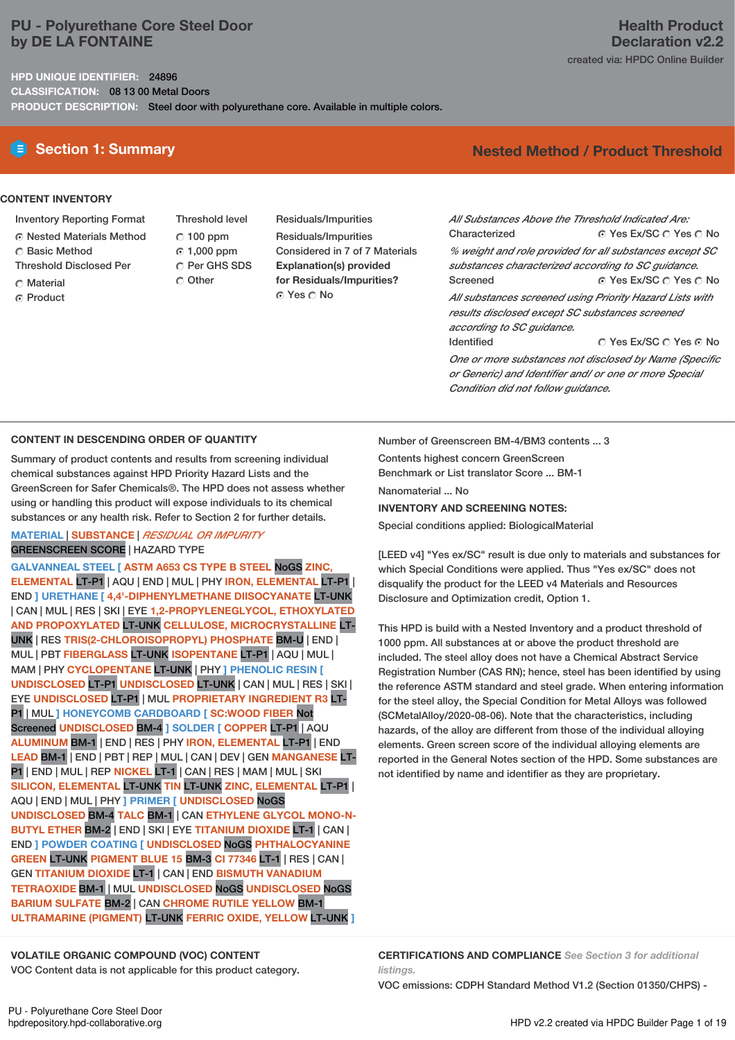# **PU - Polyurethane Core Steel Door by DE LA FONTAINE**

**HPD UNIQUE IDENTIFIER:** 24896

**CLASSIFICATION:** 08 13 00 Metal Doors

**PRODUCT DESCRIPTION:** Steel door with polyurethane core. Available in multiple colors.

# **Health Product Declaration v2.2** created via: HPDC Online Builder

# **E** Section 1: Summary **Nested** Method **/** Product Threshold

#### **CONTENT INVENTORY**

- Inventory Reporting Format
- Nested Materials Method
- C Basic Method
- Threshold Disclosed Per
- Material
- ⊙ Product

Threshold level  $\degree$  100 ppm 1,000 ppm C Per GHS SDS O Other

Residuals/Impurities Residuals/Impurities Considered in 7 of 7 Materials **Explanation(s) provided for Residuals/Impurities?** ⊙ Yes O No

 $\odot$  Yes Ex/SC  $\odot$  Yes  $\odot$  No ⊙ Yes Ex/SC  $\cap$  Yes  $\cap$  No C Yes Ex/SC C Yes G No *All Substances Above the Threshold Indicated Are:* Characterized *% weight and role provided for all substances except SC substances characterized according to SC guidance.* Screened *All substances screened using Priority Hazard Lists with results disclosed except SC substances screened according to SC guidance.* Identified *One or more substances not disclosed by Name (Specific*

*or Generic) and Identifier and/ or one or more Special Condition did not follow guidance.*

### **CONTENT IN DESCENDING ORDER OF QUANTITY**

Summary of product contents and results from screening individual chemical substances against HPD Priority Hazard Lists and the GreenScreen for Safer Chemicals®. The HPD does not assess whether using or handling this product will expose individuals to its chemical substances or any health risk. Refer to Section 2 for further details.

### **MATERIAL** | **SUBSTANCE** | *RESIDUAL OR IMPURITY* GREENSCREEN SCORE | HAZARD TYPE

**GALVANNEAL STEEL [ ASTM A653 CS TYPE B STEEL** NoGS **ZINC, ELEMENTAL** LT-P1 | AQU | END | MUL | PHY **IRON, ELEMENTAL** LT-P1 | END **] URETHANE [ 4,4'-DIPHENYLMETHANE DIISOCYANATE** LT-UNK | CAN | MUL | RES | SKI | EYE **1,2-PROPYLENEGLYCOL, ETHOXYLATED AND PROPOXYLATED** LT-UNK **CELLULOSE, MICROCRYSTALLINE** LT-UNK | RES **TRIS(2-CHLOROISOPROPYL) PHOSPHATE** BM-U | END | MUL | PBT **FIBERGLASS** LT-UNK **ISOPENTANE** LT-P1 | AQU | MUL | MAM |PHY **CYCLOPENTANE** LT-UNK | PHY **] PHENOLIC RESIN [ UNDISCLOSED** LT-P1 **UNDISCLOSED** LT-UNK | CAN | MUL | RES | SKI | EYE **UNDISCLOSED** LT-P1 | MUL **PROPRIETARY INGREDIENT R3** LT-P1 | MUL **] HONEYCOMB CARDBOARD [ SC:WOOD FIBER** Not Screened **UNDISCLOSED** BM-4 **] SOLDER [ COPPER** LT-P1 | AQU **ALUMINUM** BM-1 | END | RES | PHY **IRON, ELEMENTAL** LT-P1 | END **LEAD** BM-1 | END | PBT | REP | MUL | CAN | DEV | GEN **MANGANESE** LT-P1 | END | MUL | REP **NICKEL** LT-1 | CAN | RES | MAM | MUL | SKI **SILICON, ELEMENTAL** LT-UNK **TIN** LT-UNK **ZINC, ELEMENTAL** LT-P1 | AQU | END | MUL | PHY **] PRIMER [ UNDISCLOSED** NoGS **UNDISCLOSED** BM-4 **TALC** BM-1 | CAN **ETHYLENE GLYCOL MONO-N-BUTYL ETHER** BM-2 | END | SKI | EYE **TITANIUM DIOXIDE** LT-1 | CAN | END **] POWDER COATING [ UNDISCLOSED** NoGS **PHTHALOCYANINE GREEN** LT-UNK **PIGMENT BLUE 15** BM-3 **CI 77346** LT-1 | RES | CAN | GEN **TITANIUM DIOXIDE** LT-1 | CAN | END **BISMUTH VANADIUM TETRAOXIDE** BM-1 | MUL **UNDISCLOSED** NoGS **UNDISCLOSED** NoGS **BARIUM SULFATE** BM-2 | CAN **CHROME RUTILE YELLOW** BM-1 **ULTRAMARINE (PIGMENT)** LT-UNK **FERRIC OXIDE, YELLOW** LT-UNK **]**

Number of Greenscreen BM-4/BM3 contents ... 3 Contents highest concern GreenScreen Benchmark or List translator Score ... BM-1 Nanomaterial ... No **INVENTORY AND SCREENING NOTES:**

Special conditions applied: BiologicalMaterial

[LEED v4] "Yes ex/SC" result is due only to materials and substances for which Special Conditions were applied. Thus "Yes ex/SC" does not disqualify the product for the LEED v4 Materials and Resources Disclosure and Optimization credit, Option 1.

This HPD is build with a Nested Inventory and a product threshold of 1000 ppm. All substances at or above the product threshold are included. The steel alloy does not have a Chemical Abstract Service Registration Number (CAS RN); hence, steel has been identified by using the reference ASTM standard and steel grade. When entering information for the steel alloy, the Special Condition for Metal Alloys was followed (SCMetalAlloy/2020-08-06). Note that the characteristics, including hazards, of the alloy are different from those of the individual alloying elements. Green screen score of the individual alloying elements are reported in the General Notes section of the HPD. Some substances are not identified by name and identifier as they are proprietary.

### **VOLATILE ORGANIC COMPOUND (VOC) CONTENT**

VOC Content data is not applicable for this product category.

**CERTIFICATIONS AND COMPLIANCE** *See Section 3 for additional listings.*

VOC emissions: CDPH Standard Method V1.2 (Section 01350/CHPS) -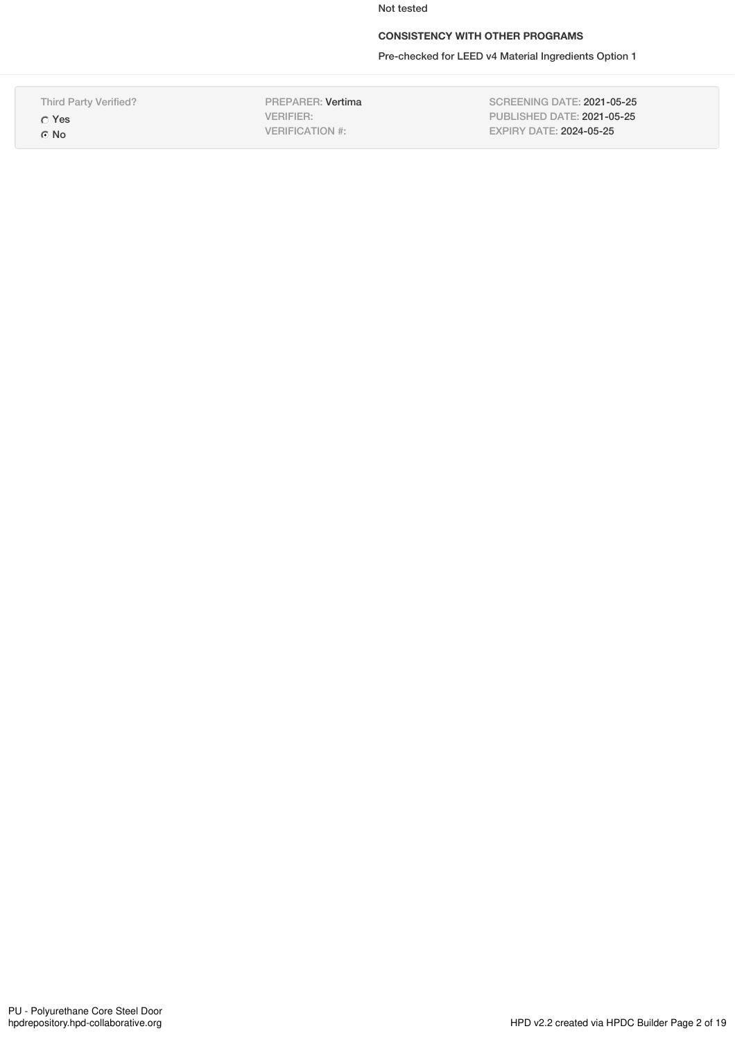Not tested

# **CONSISTENCY WITH OTHER PROGRAMS**

Pre-checked for LEED v4 Material Ingredients Option 1

Third Party Verified? Yes

⊙ No

PREPARER: Vertima VERIFIER: VERIFICATION #:

SCREENING DATE: 2021-05-25 PUBLISHED DATE: 2021-05-25 EXPIRY DATE: 2024-05-25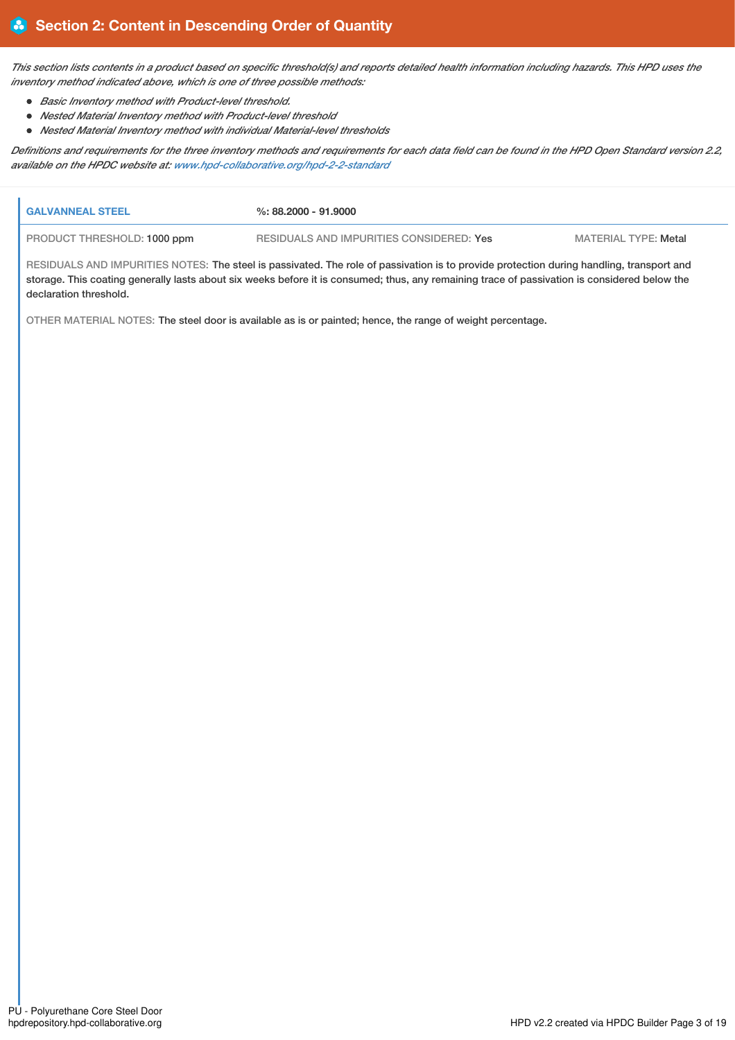This section lists contents in a product based on specific threshold(s) and reports detailed health information including hazards. This HPD uses the *inventory method indicated above, which is one of three possible methods:*

- *Basic Inventory method with Product-level threshold.*
- *Nested Material Inventory method with Product-level threshold*
- *Nested Material Inventory method with individual Material-level thresholds*

Definitions and requirements for the three inventory methods and requirements for each data field can be found in the HPD Open Standard version 2.2, *available on the HPDC website at: [www.hpd-collaborative.org/hpd-2-2-standard](https://www.hpd-collaborative.org/hpd-2-2-standard)*

| I GALVANNEAL STEEL                                                                                                                       | %: 88.2000 - 91.9000                     |                      |  |  |
|------------------------------------------------------------------------------------------------------------------------------------------|------------------------------------------|----------------------|--|--|
| <b>PRODUCT THRESHOLD: 1000 ppm</b>                                                                                                       | RESIDUALS AND IMPURITIES CONSIDERED: Yes | MATERIAL TYPE: Metal |  |  |
| RESIDUALS AND IMPURITIES NOTES: The steel is passivated. The role of passivation is to provide protection during handling, transport and |                                          |                      |  |  |

storage. This coating generally lasts about six weeks before it is consumed; thus, any remaining trace of passivation is considered below the

declaration threshold.

OTHER MATERIAL NOTES: The steel door is available as is or painted; hence, the range of weight percentage.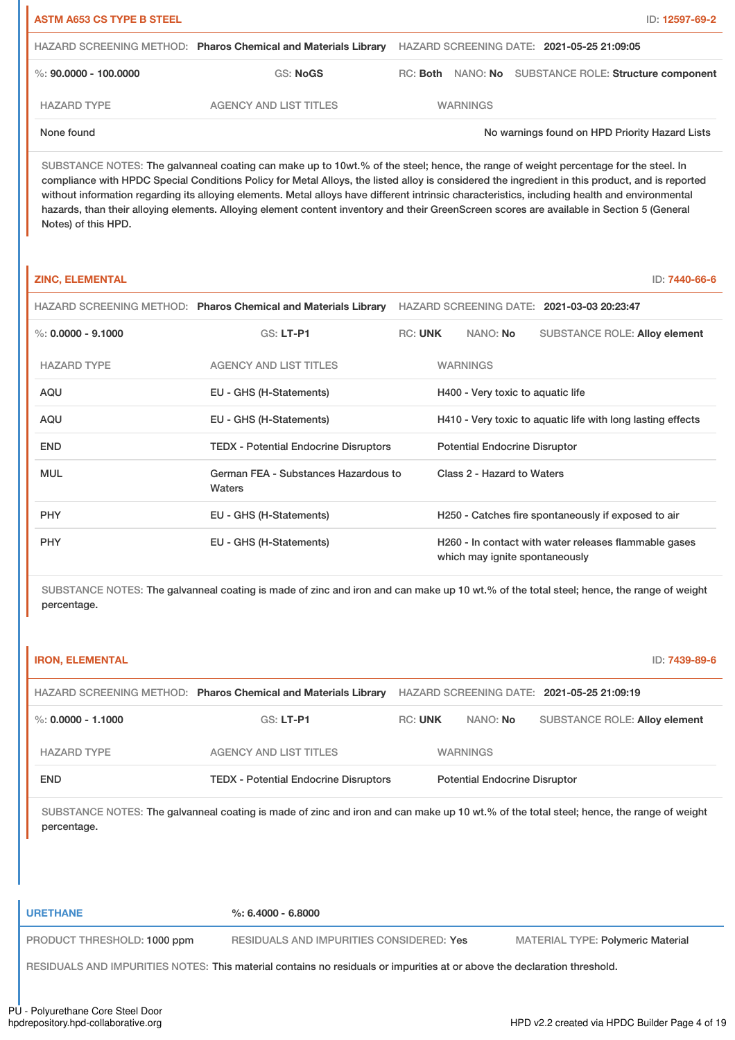| <b>ASTM A653 CS TYPE B STEEL</b> |                                                                |                                            |  | ID: 12597-69-2                                        |  |
|----------------------------------|----------------------------------------------------------------|--------------------------------------------|--|-------------------------------------------------------|--|
|                                  | HAZARD SCREENING METHOD: Pharos Chemical and Materials Library | HAZARD SCREENING DATE: 2021-05-25 21:09:05 |  |                                                       |  |
| %: 90.0000 - 100.0000            | GS: NoGS                                                       |                                            |  | RC: Both NANO: No SUBSTANCE ROLE: Structure component |  |
| <b>HAZARD TYPE</b>               | <b>AGENCY AND LIST TITLES</b>                                  | <b>WARNINGS</b>                            |  |                                                       |  |
| None found                       |                                                                |                                            |  | No warnings found on HPD Priority Hazard Lists        |  |

SUBSTANCE NOTES: The galvanneal coating can make up to 10wt.% of the steel; hence, the range of weight percentage for the steel. In compliance with HPDC Special Conditions Policy for Metal Alloys, the listed alloy is considered the ingredient in this product, and is reported without information regarding its alloying elements. Metal alloys have different intrinsic characteristics, including health and environmental hazards, than their alloying elements. Alloying element content inventory and their GreenScreen scores are available in Section 5 (General Notes) of this HPD.

#### **ZINC, ELEMENTAL** ID: **7440-66-6**

|                      | HAZARD SCREENING METHOD: Pharos Chemical and Materials Library |                |                                      | HAZARD SCREENING DATE: 2021-03-03 20:23:47                  |
|----------------------|----------------------------------------------------------------|----------------|--------------------------------------|-------------------------------------------------------------|
| %: $0.0000 - 9.1000$ | <b>GS: LT-P1</b>                                               | <b>RC: UNK</b> | NANO: No                             | <b>SUBSTANCE ROLE: Alloy element</b>                        |
| <b>HAZARD TYPE</b>   | <b>AGENCY AND LIST TITLES</b>                                  |                | <b>WARNINGS</b>                      |                                                             |
| AQU                  | EU - GHS (H-Statements)                                        |                | H400 - Very toxic to aquatic life    |                                                             |
| AQU                  | EU - GHS (H-Statements)                                        |                |                                      | H410 - Very toxic to aquatic life with long lasting effects |
| <b>END</b>           | <b>TEDX - Potential Endocrine Disruptors</b>                   |                | <b>Potential Endocrine Disruptor</b> |                                                             |
| <b>MUL</b>           | German FEA - Substances Hazardous to<br>Waters                 |                | Class 2 - Hazard to Waters           |                                                             |
| <b>PHY</b>           | EU - GHS (H-Statements)                                        |                |                                      | H250 - Catches fire spontaneously if exposed to air         |
| <b>PHY</b>           | EU - GHS (H-Statements)                                        |                | which may ignite spontaneously       | H260 - In contact with water releases flammable gases       |

SUBSTANCE NOTES: The galvanneal coating is made of zinc and iron and can make up 10 wt.% of the total steel; hence, the range of weight percentage.

| <b>IRON, ELEMENTAL</b>      |                                                                                                                                         |                |                                      |                                            | ID: 7439-89-6 |
|-----------------------------|-----------------------------------------------------------------------------------------------------------------------------------------|----------------|--------------------------------------|--------------------------------------------|---------------|
|                             | HAZARD SCREENING METHOD: Pharos Chemical and Materials Library                                                                          |                |                                      | HAZARD SCREENING DATE: 2021-05-25 21:09:19 |               |
| %: $0.0000 - 1.1000$        | GS: LT-P1                                                                                                                               | <b>RC: UNK</b> | NANO: No                             | <b>SUBSTANCE ROLE: Alloy element</b>       |               |
| <b>HAZARD TYPE</b>          | <b>AGENCY AND LIST TITLES</b>                                                                                                           |                | <b>WARNINGS</b>                      |                                            |               |
| <b>END</b>                  | <b>TEDX - Potential Endocrine Disruptors</b>                                                                                            |                | <b>Potential Endocrine Disruptor</b> |                                            |               |
| percentage.                 | SUBSTANCE NOTES: The galvanneal coating is made of zinc and iron and can make up 10 wt.% of the total steel; hence, the range of weight |                |                                      |                                            |               |
| <b>URETHANE</b>             | $\%: 6.4000 - 6.8000$                                                                                                                   |                |                                      |                                            |               |
| PRODUCT THRESHOLD: 1000 ppm | RESIDUALS AND IMPURITIES CONSIDERED: Yes                                                                                                |                |                                      | <b>MATERIAL TYPE: Polymeric Material</b>   |               |
|                             | RESIDUALS AND IMPURITIES NOTES: This material contains no residuals or impurities at or above the declaration threshold.                |                |                                      |                                            |               |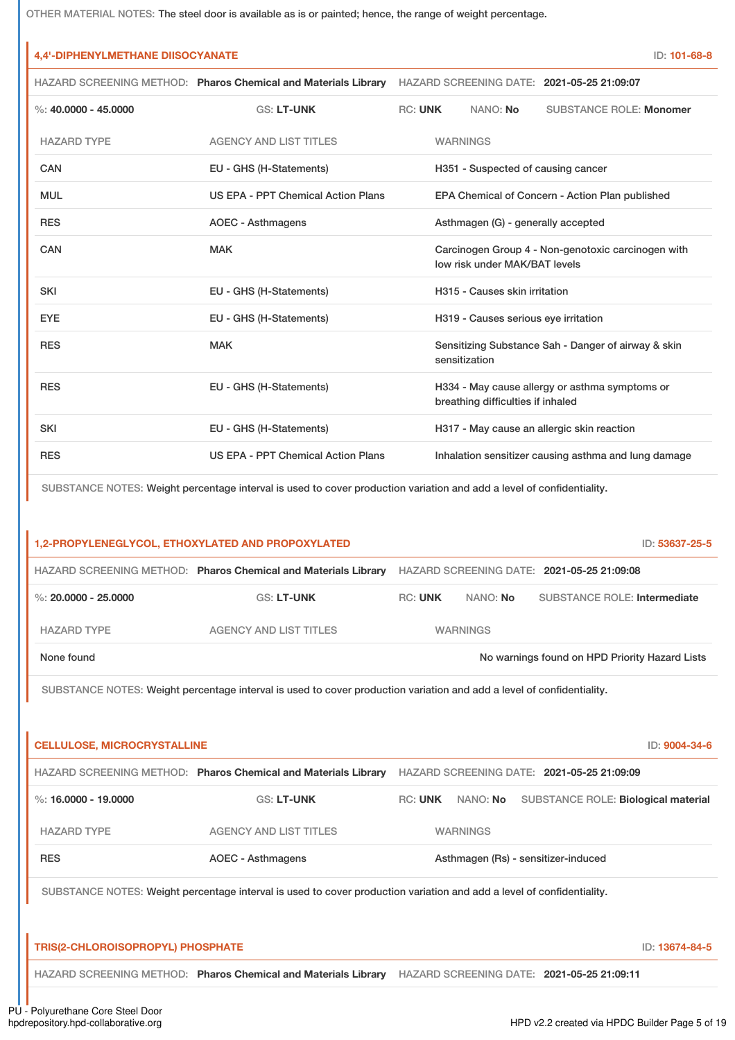OTHER MATERIAL NOTES: The steel door is available as is or painted; hence, the range of weight percentage.

# **4,4'-DIPHENYLMETHANE DIISOCYANATE** ID: **101-68-8**

HAZARD SCREENING METHOD: **Pharos Chemical and Materials Library** HAZARD SCREENING DATE: **2021-05-25 21:09:07**

| %: $40.0000 - 45.0000$ | <b>GS: LT-UNK</b>                  | <b>RC: UNK</b>                                  |                                    | NANO: No                             | <b>SUBSTANCE ROLE: Monomer</b>                       |  |
|------------------------|------------------------------------|-------------------------------------------------|------------------------------------|--------------------------------------|------------------------------------------------------|--|
| <b>HAZARD TYPE</b>     | <b>AGENCY AND LIST TITLES</b>      |                                                 | <b>WARNINGS</b>                    |                                      |                                                      |  |
| CAN                    | EU - GHS (H-Statements)            |                                                 | H351 - Suspected of causing cancer |                                      |                                                      |  |
| <b>MUL</b>             | US EPA - PPT Chemical Action Plans | EPA Chemical of Concern - Action Plan published |                                    |                                      |                                                      |  |
| <b>RES</b>             | AOEC - Asthmagens                  | Asthmagen (G) - generally accepted              |                                    |                                      |                                                      |  |
| CAN                    | <b>MAK</b>                         |                                                 |                                    | low risk under MAK/BAT levels        | Carcinogen Group 4 - Non-genotoxic carcinogen with   |  |
| <b>SKI</b>             | EU - GHS (H-Statements)            |                                                 |                                    | H315 - Causes skin irritation        |                                                      |  |
| <b>EYE</b>             | EU - GHS (H-Statements)            |                                                 |                                    | H319 - Causes serious eye irritation |                                                      |  |
| <b>RES</b>             | <b>MAK</b>                         |                                                 |                                    | sensitization                        | Sensitizing Substance Sah - Danger of airway & skin  |  |
| <b>RES</b>             | EU - GHS (H-Statements)            |                                                 |                                    | breathing difficulties if inhaled    | H334 - May cause allergy or asthma symptoms or       |  |
| <b>SKI</b>             | EU - GHS (H-Statements)            |                                                 |                                    |                                      | H317 - May cause an allergic skin reaction           |  |
| <b>RES</b>             | US EPA - PPT Chemical Action Plans |                                                 |                                    |                                      | Inhalation sensitizer causing asthma and lung damage |  |

SUBSTANCE NOTES: Weight percentage interval is used to cover production variation and add a level of confidentiality.

| 1,2-PROPYLENEGLYCOL, ETHOXYLATED AND PROPOXYLATED<br>ID: 53637-25-5                                                   |                                                                |                                            |                 |                                                |               |
|-----------------------------------------------------------------------------------------------------------------------|----------------------------------------------------------------|--------------------------------------------|-----------------|------------------------------------------------|---------------|
|                                                                                                                       | HAZARD SCREENING METHOD: Pharos Chemical and Materials Library | HAZARD SCREENING DATE: 2021-05-25 21:09:08 |                 |                                                |               |
| %: $20.0000 - 25.0000$                                                                                                | <b>GS: LT-UNK</b>                                              | <b>RC: UNK</b>                             | NANO: No        | <b>SUBSTANCE ROLE: Intermediate</b>            |               |
| <b>HAZARD TYPE</b>                                                                                                    | <b>AGENCY AND LIST TITLES</b>                                  |                                            | <b>WARNINGS</b> |                                                |               |
| None found                                                                                                            |                                                                |                                            |                 | No warnings found on HPD Priority Hazard Lists |               |
| SUBSTANCE NOTES: Weight percentage interval is used to cover production variation and add a level of confidentiality. |                                                                |                                            |                 |                                                |               |
|                                                                                                                       |                                                                |                                            |                 |                                                |               |
| <b>CELLULOSE, MICROCRYSTALLINE</b>                                                                                    |                                                                |                                            |                 |                                                | ID: 9004-34-6 |
|                                                                                                                       | HAZARD SCREENING METHOD: Pharos Chemical and Materials Library |                                            |                 | HAZARD SCREENING DATE: 2021-05-25 21:09:09     |               |
| %: 16,0000 - 19,0000                                                                                                  | <b>GS: LT-UNK</b>                                              | <b>RC: UNK</b>                             | NANO: No        | <b>SUBSTANCE ROLE: Biological material</b>     |               |
| <b>HAZARD TYPE</b>                                                                                                    | <b>AGENCY AND LIST TITLES</b>                                  |                                            | <b>WARNINGS</b> |                                                |               |
| <b>RES</b>                                                                                                            | <b>AOEC - Asthmagens</b>                                       |                                            |                 | Asthmagen (Rs) - sensitizer-induced            |               |
| SUBSTANCE NOTES: Weight percentage interval is used to cover production variation and add a level of confidentiality. |                                                                |                                            |                 |                                                |               |
|                                                                                                                       |                                                                |                                            |                 |                                                |               |
| <b>TRIS(2-CHLOROISOPROPYL) PHOSPHATE</b><br>ID: 13674-84-5                                                            |                                                                |                                            |                 |                                                |               |
|                                                                                                                       | HAZARD SCREENING METHOD: Pharos Chemical and Materials Library |                                            |                 | HAZARD SCREENING DATE: 2021-05-25 21:09:11     |               |

PU - Polyurethane Core Steel Door<br>hpdrepository.hpd-collaborative.org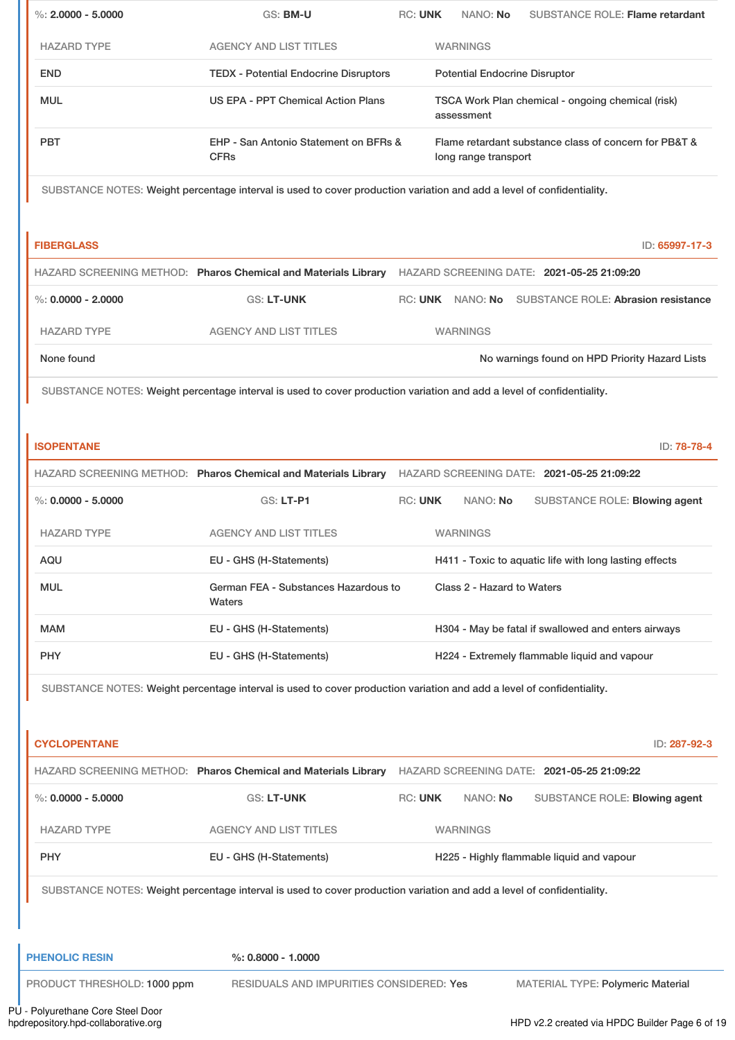| $\%$ : 2.0000 - 5.0000                                                                                                | GS: BM-U                                             | <b>RC: UNK</b><br>NANO: No<br><b>SUBSTANCE ROLE: Flame retardant</b>                                                  |  |  |  |
|-----------------------------------------------------------------------------------------------------------------------|------------------------------------------------------|-----------------------------------------------------------------------------------------------------------------------|--|--|--|
| <b>HAZARD TYPE</b>                                                                                                    | <b>AGENCY AND LIST TITLES</b>                        | <b>WARNINGS</b>                                                                                                       |  |  |  |
| <b>END</b>                                                                                                            | <b>TEDX - Potential Endocrine Disruptors</b>         | <b>Potential Endocrine Disruptor</b>                                                                                  |  |  |  |
| <b>MUL</b>                                                                                                            | <b>US EPA - PPT Chemical Action Plans</b>            | TSCA Work Plan chemical - ongoing chemical (risk)<br>assessment                                                       |  |  |  |
| <b>PBT</b>                                                                                                            | EHP - San Antonio Statement on BFRs &<br><b>CFRs</b> | Flame retardant substance class of concern for PB&T &<br>long range transport                                         |  |  |  |
| SUBSTANCE NOTES: Weight percentage interval is used to cover production variation and add a level of confidentiality. |                                                      |                                                                                                                       |  |  |  |
| <b>FIBERGLASS</b>                                                                                                     |                                                      | ID: 65997-17-3                                                                                                        |  |  |  |
|                                                                                                                       |                                                      | HAZARD SCREENING METHOD: Pharos Chemical and Materials Library HAZARD SCREENING DATE: 2021-05-25 21:09:20             |  |  |  |
| $\%$ : 0.0000 - 2.0000                                                                                                | <b>GS: LT-UNK</b>                                    | RC: UNK NANO: No SUBSTANCE ROLE: Abrasion resistance                                                                  |  |  |  |
| <b>HAZARD TYPE</b>                                                                                                    | <b>AGENCY AND LIST TITLES</b>                        | <b>WARNINGS</b>                                                                                                       |  |  |  |
| None found                                                                                                            |                                                      | No warnings found on HPD Priority Hazard Lists                                                                        |  |  |  |
|                                                                                                                       |                                                      | SUBSTANCE NOTES: Weight percentage interval is used to cover production variation and add a level of confidentiality. |  |  |  |
|                                                                                                                       |                                                      |                                                                                                                       |  |  |  |
| <b>ISOPENTANE</b>                                                                                                     |                                                      | ID: 78-78-4                                                                                                           |  |  |  |
|                                                                                                                       |                                                      | HAZARD SCREENING METHOD: Pharos Chemical and Materials Library HAZARD SCREENING DATE: 2021-05-25 21:09:22             |  |  |  |
| $\%$ : 0.0000 - 5.0000                                                                                                | GS: LT-P1                                            | <b>RC: UNK</b><br>NANO: No<br>SUBSTANCE ROLE: Blowing agent                                                           |  |  |  |
| <b>HAZARD TYPE</b>                                                                                                    | <b>AGENCY AND LIST TITLES</b>                        | <b>WARNINGS</b>                                                                                                       |  |  |  |
| AQU                                                                                                                   | EU - GHS (H-Statements)                              | H411 - Toxic to aquatic life with long lasting effects                                                                |  |  |  |
| <b>MUL</b>                                                                                                            | German FEA - Substances Hazardous to<br>Waters       | Class 2 - Hazard to Waters                                                                                            |  |  |  |
| <b>MAM</b>                                                                                                            | EU - GHS (H-Statements)                              | H304 - May be fatal if swallowed and enters airways                                                                   |  |  |  |
| <b>PHY</b>                                                                                                            | EU - GHS (H-Statements)                              | H224 - Extremely flammable liquid and vapour                                                                          |  |  |  |
|                                                                                                                       |                                                      | SUBSTANCE NOTES: Weight percentage interval is used to cover production variation and add a level of confidentiality. |  |  |  |
|                                                                                                                       |                                                      |                                                                                                                       |  |  |  |
| <b>CYCLOPENTANE</b>                                                                                                   |                                                      | ID: 287-92-3                                                                                                          |  |  |  |
|                                                                                                                       |                                                      | HAZARD SCREENING METHOD: Pharos Chemical and Materials Library HAZARD SCREENING DATE: 2021-05-25 21:09:22             |  |  |  |
| %: $0.0000 - 5.0000$                                                                                                  | GS: LT-UNK                                           | <b>RC: UNK</b><br>NANO: No<br>SUBSTANCE ROLE: Blowing agent                                                           |  |  |  |
| <b>HAZARD TYPE</b>                                                                                                    | <b>AGENCY AND LIST TITLES</b>                        | <b>WARNINGS</b>                                                                                                       |  |  |  |
| <b>PHY</b>                                                                                                            | EU - GHS (H-Statements)                              | H225 - Highly flammable liquid and vapour                                                                             |  |  |  |
| SUBSTANCE NOTES: Weight percentage interval is used to cover production variation and add a level of confidentiality. |                                                      |                                                                                                                       |  |  |  |
|                                                                                                                       |                                                      |                                                                                                                       |  |  |  |
|                                                                                                                       |                                                      |                                                                                                                       |  |  |  |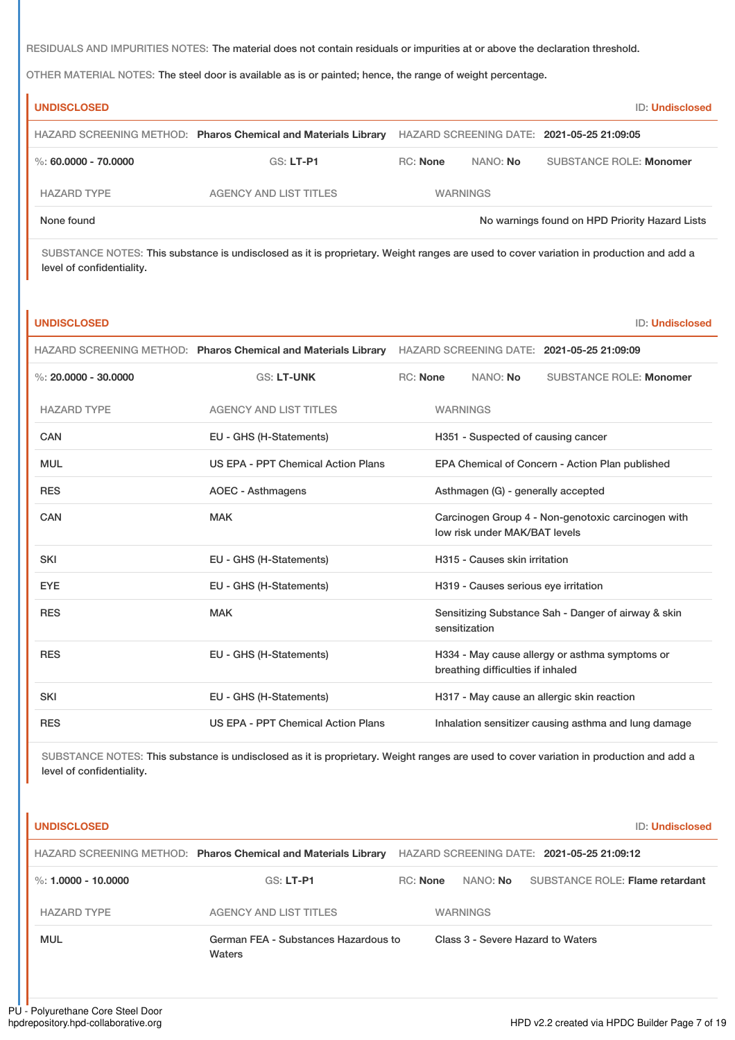RESIDUALS AND IMPURITIES NOTES: The material does not contain residuals or impurities at or above the declaration threshold.

OTHER MATERIAL NOTES: The steel door is available as is or painted; hence, the range of weight percentage.

| <b>UNDISCLOSED</b>   |                                                                |                 |                 | <b>ID: Undisclosed</b>                         |
|----------------------|----------------------------------------------------------------|-----------------|-----------------|------------------------------------------------|
|                      | HAZARD SCREENING METHOD: Pharos Chemical and Materials Library |                 |                 | HAZARD SCREENING DATE: 2021-05-25 21:09:05     |
| %: 60.0000 - 70.0000 | $GS: LT-PI$                                                    | <b>RC:</b> None | NANO: No        | <b>SUBSTANCE ROLE: Monomer</b>                 |
| <b>HAZARD TYPE</b>   | <b>AGENCY AND LIST TITLES</b>                                  |                 | <b>WARNINGS</b> |                                                |
| None found           |                                                                |                 |                 | No warnings found on HPD Priority Hazard Lists |

SUBSTANCE NOTES: This substance is undisclosed as it is proprietary. Weight ranges are used to cover variation in production and add a level of confidentiality.

| <b>UNDISCLOSED</b>     |                                                                |                                    |                 |                                      |                                                      | <b>ID: Undisclosed</b> |
|------------------------|----------------------------------------------------------------|------------------------------------|-----------------|--------------------------------------|------------------------------------------------------|------------------------|
|                        | HAZARD SCREENING METHOD: Pharos Chemical and Materials Library |                                    |                 |                                      | HAZARD SCREENING DATE: 2021-05-25 21:09:09           |                        |
| %: $20.0000 - 30.0000$ | <b>GS: LT-UNK</b>                                              | <b>RC: None</b>                    |                 | NANO: No                             | <b>SUBSTANCE ROLE: Monomer</b>                       |                        |
| <b>HAZARD TYPE</b>     | <b>AGENCY AND LIST TITLES</b>                                  |                                    | <b>WARNINGS</b> |                                      |                                                      |                        |
| CAN                    | EU - GHS (H-Statements)                                        |                                    |                 | H351 - Suspected of causing cancer   |                                                      |                        |
| <b>MUL</b>             | <b>US EPA - PPT Chemical Action Plans</b>                      |                                    |                 |                                      | EPA Chemical of Concern - Action Plan published      |                        |
| <b>RES</b>             | <b>AOEC - Asthmagens</b>                                       | Asthmagen (G) - generally accepted |                 |                                      |                                                      |                        |
| <b>CAN</b>             | <b>MAK</b>                                                     |                                    |                 | low risk under MAK/BAT levels        | Carcinogen Group 4 - Non-genotoxic carcinogen with   |                        |
| <b>SKI</b>             | EU - GHS (H-Statements)                                        |                                    |                 | H315 - Causes skin irritation        |                                                      |                        |
| <b>EYE</b>             | EU - GHS (H-Statements)                                        |                                    |                 | H319 - Causes serious eye irritation |                                                      |                        |
| <b>RES</b>             | <b>MAK</b>                                                     |                                    | sensitization   |                                      | Sensitizing Substance Sah - Danger of airway & skin  |                        |
| <b>RES</b>             | EU - GHS (H-Statements)                                        |                                    |                 | breathing difficulties if inhaled    | H334 - May cause allergy or asthma symptoms or       |                        |
| <b>SKI</b>             | EU - GHS (H-Statements)                                        |                                    |                 |                                      | H317 - May cause an allergic skin reaction           |                        |
| <b>RES</b>             | US EPA - PPT Chemical Action Plans                             |                                    |                 |                                      | Inhalation sensitizer causing asthma and lung damage |                        |

SUBSTANCE NOTES: This substance is undisclosed as it is proprietary. Weight ranges are used to cover variation in production and add a level of confidentiality.

| <b>UNDISCLOSED</b>    |                                                                | <b>ID: Undisclosed</b>                                                |
|-----------------------|----------------------------------------------------------------|-----------------------------------------------------------------------|
|                       | HAZARD SCREENING METHOD: Pharos Chemical and Materials Library | HAZARD SCREENING DATE: 2021-05-25 21:09:12                            |
| %: $1.0000 - 10.0000$ | $GS: LT-PI$                                                    | <b>SUBSTANCE ROLE: Flame retardant</b><br>RC: None<br>NANO: <b>No</b> |
| <b>HAZARD TYPE</b>    | <b>AGENCY AND LIST TITLES</b>                                  | <b>WARNINGS</b>                                                       |
| <b>MUL</b>            | German FEA - Substances Hazardous to<br>Waters                 | Class 3 - Severe Hazard to Waters                                     |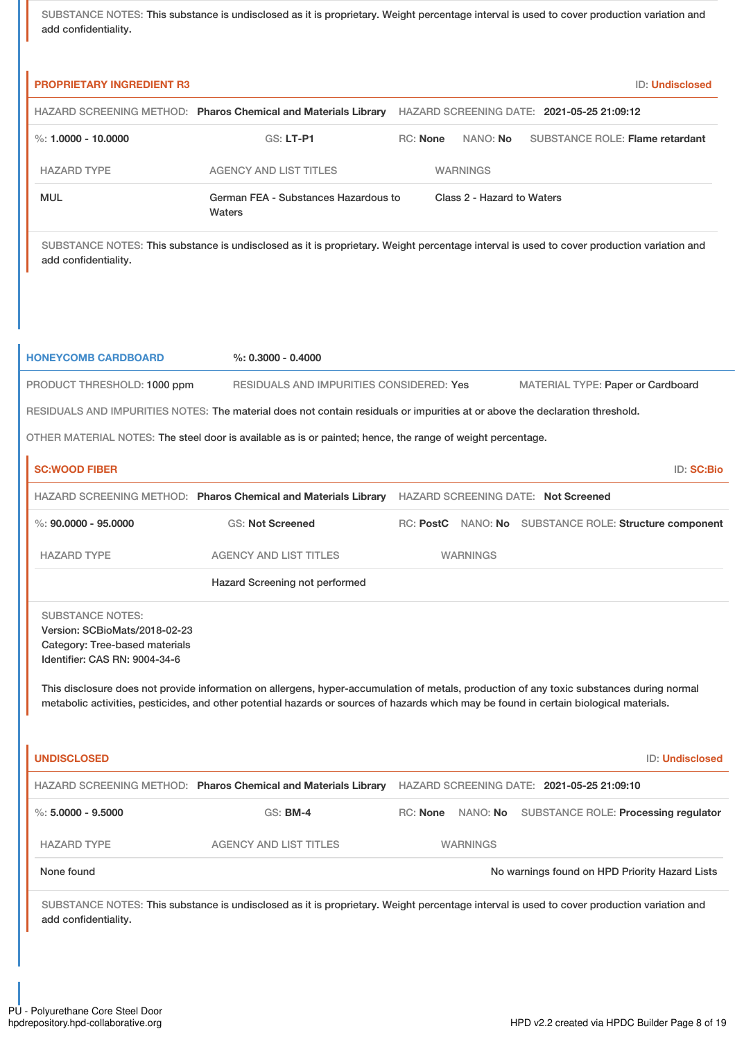SUBSTANCE NOTES: This substance is undisclosed as it is proprietary. Weight percentage interval is used to cover production variation and add confidentiality.

| <b>PROPRIETARY INGREDIENT R3</b>                                                                                            |                                                                                                                                                                                                                                                                                      |                 |                 | <b>ID: Undisclosed</b>                                 |  |  |
|-----------------------------------------------------------------------------------------------------------------------------|--------------------------------------------------------------------------------------------------------------------------------------------------------------------------------------------------------------------------------------------------------------------------------------|-----------------|-----------------|--------------------------------------------------------|--|--|
|                                                                                                                             | HAZARD SCREENING METHOD: Pharos Chemical and Materials Library HAZARD SCREENING DATE: 2021-05-25 21:09:12                                                                                                                                                                            |                 |                 |                                                        |  |  |
| %: 1.0000 - 10.0000                                                                                                         | <b>GS: LT-P1</b>                                                                                                                                                                                                                                                                     | <b>RC: None</b> | NANO: No        | <b>SUBSTANCE ROLE: Flame retardant</b>                 |  |  |
| <b>HAZARD TYPE</b>                                                                                                          | <b>AGENCY AND LIST TITLES</b>                                                                                                                                                                                                                                                        |                 | <b>WARNINGS</b> |                                                        |  |  |
| <b>MUL</b>                                                                                                                  | German FEA - Substances Hazardous to<br>Class 2 - Hazard to Waters<br>Waters                                                                                                                                                                                                         |                 |                 |                                                        |  |  |
| add confidentiality.                                                                                                        | SUBSTANCE NOTES: This substance is undisclosed as it is proprietary. Weight percentage interval is used to cover production variation and                                                                                                                                            |                 |                 |                                                        |  |  |
| <b>HONEYCOMB CARDBOARD</b>                                                                                                  | $\%$ : 0.3000 - 0.4000                                                                                                                                                                                                                                                               |                 |                 |                                                        |  |  |
| PRODUCT THRESHOLD: 1000 ppm                                                                                                 | RESIDUALS AND IMPURITIES CONSIDERED: Yes                                                                                                                                                                                                                                             |                 |                 | MATERIAL TYPE: Paper or Cardboard                      |  |  |
|                                                                                                                             | RESIDUALS AND IMPURITIES NOTES: The material does not contain residuals or impurities at or above the declaration threshold.                                                                                                                                                         |                 |                 |                                                        |  |  |
|                                                                                                                             | OTHER MATERIAL NOTES: The steel door is available as is or painted; hence, the range of weight percentage.                                                                                                                                                                           |                 |                 |                                                        |  |  |
| <b>SC:WOOD FIBER</b>                                                                                                        |                                                                                                                                                                                                                                                                                      |                 |                 | ID: SC:Bio                                             |  |  |
|                                                                                                                             | HAZARD SCREENING METHOD: Pharos Chemical and Materials Library HAZARD SCREENING DATE: Not Screened                                                                                                                                                                                   |                 |                 |                                                        |  |  |
| %: $90.0000 - 95.0000$                                                                                                      | <b>GS: Not Screened</b>                                                                                                                                                                                                                                                              |                 |                 | RC: PostC NANO: No SUBSTANCE ROLE: Structure component |  |  |
| <b>HAZARD TYPE</b>                                                                                                          | <b>AGENCY AND LIST TITLES</b>                                                                                                                                                                                                                                                        |                 | <b>WARNINGS</b> |                                                        |  |  |
|                                                                                                                             | Hazard Screening not performed                                                                                                                                                                                                                                                       |                 |                 |                                                        |  |  |
| <b>SUBSTANCE NOTES:</b><br>Version: SCBioMats/2018-02-23<br>Category: Tree-based materials<br>Identifier: CAS RN: 9004-34-6 |                                                                                                                                                                                                                                                                                      |                 |                 |                                                        |  |  |
|                                                                                                                             | This disclosure does not provide information on allergens, hyper-accumulation of metals, production of any toxic substances during normal<br>metabolic activities, pesticides, and other potential hazards or sources of hazards which may be found in certain biological materials. |                 |                 |                                                        |  |  |
| <b>UNDISCLOSED</b>                                                                                                          |                                                                                                                                                                                                                                                                                      |                 |                 | ID: Undisclosed                                        |  |  |
|                                                                                                                             | HAZARD SCREENING METHOD: Pharos Chemical and Materials Library HAZARD SCREENING DATE: 2021-05-25 21:09:10                                                                                                                                                                            |                 |                 |                                                        |  |  |
| $\%$ : 5.0000 - 9.5000                                                                                                      | <b>GS: BM-4</b>                                                                                                                                                                                                                                                                      | RC: None        | NANO: No        | SUBSTANCE ROLE: Processing regulator                   |  |  |
| <b>HAZARD TYPE</b>                                                                                                          | <b>AGENCY AND LIST TITLES</b>                                                                                                                                                                                                                                                        |                 | <b>WARNINGS</b> |                                                        |  |  |
| None found                                                                                                                  |                                                                                                                                                                                                                                                                                      |                 |                 | No warnings found on HPD Priority Hazard Lists         |  |  |
| add confidentiality.                                                                                                        | SUBSTANCE NOTES: This substance is undisclosed as it is proprietary. Weight percentage interval is used to cover production variation and                                                                                                                                            |                 |                 |                                                        |  |  |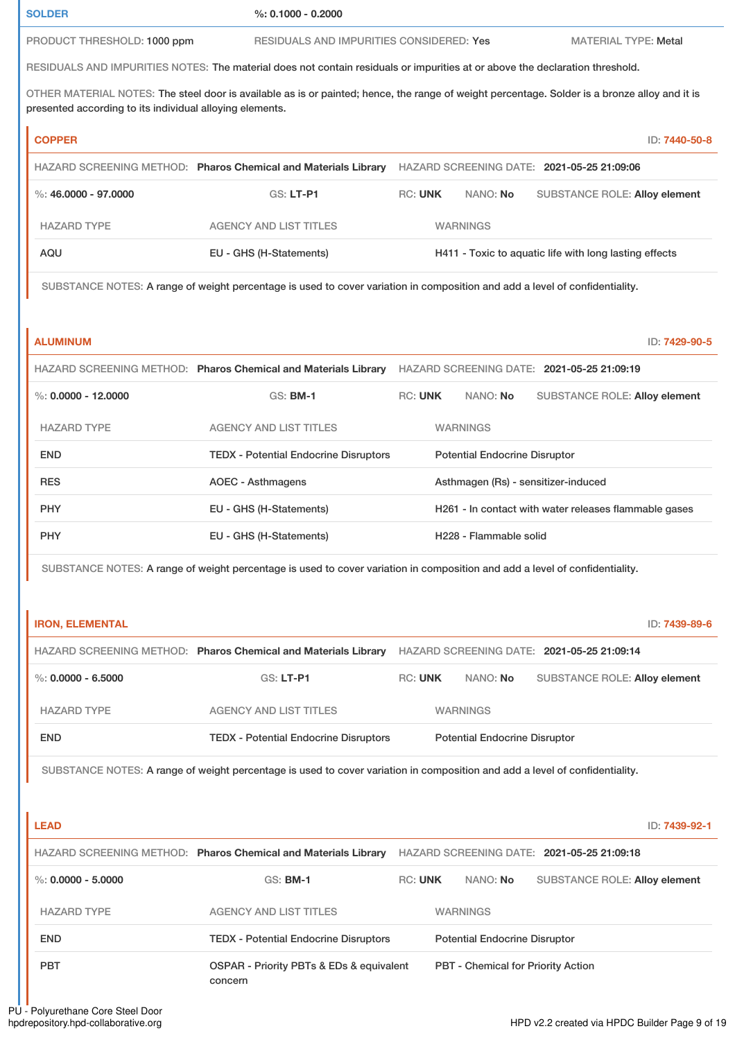**SOLDER %: 0.1000 - 0.2000**

PRODUCT THRESHOLD: 1000 ppm RESIDUALS AND IMPURITIES CONSIDERED: Yes MATERIAL TYPE: Metal

RESIDUALS AND IMPURITIES NOTES: The material does not contain residuals or impurities at or above the declaration threshold.

OTHER MATERIAL NOTES: The steel door is available as is or painted; hence, the range of weight percentage. Solder is a bronze alloy and it is presented according to its individual alloying elements.

| <b>COPPER</b>        |                                                                |                 |          | ID: 7440-50-8                                          |
|----------------------|----------------------------------------------------------------|-----------------|----------|--------------------------------------------------------|
|                      | HAZARD SCREENING METHOD: Pharos Chemical and Materials Library |                 |          | HAZARD SCREENING DATE: 2021-05-25 21:09:06             |
| %: 46,0000 - 97,0000 | $GS: LT-PI$                                                    | <b>RC: UNK</b>  | NANO: No | <b>SUBSTANCE ROLE: Alloy element</b>                   |
| <b>HAZARD TYPE</b>   | <b>AGENCY AND LIST TITLES</b>                                  | <b>WARNINGS</b> |          |                                                        |
| AQU                  | EU - GHS (H-Statements)                                        |                 |          | H411 - Toxic to aquatic life with long lasting effects |

SUBSTANCE NOTES: A range of weight percentage is used to cover variation in composition and add a level of confidentiality.

| <b>ALUMINUM</b>       |                                                                |                |                                      | ID: 7429-90-5                                         |
|-----------------------|----------------------------------------------------------------|----------------|--------------------------------------|-------------------------------------------------------|
|                       | HAZARD SCREENING METHOD: Pharos Chemical and Materials Library |                |                                      | HAZARD SCREENING DATE: 2021-05-25 21:09:19            |
| %: $0.0000 - 12.0000$ | $GS:$ BM-1                                                     | <b>RC: UNK</b> | NANO: <b>No</b>                      | <b>SUBSTANCE ROLE: Alloy element</b>                  |
| <b>HAZARD TYPE</b>    | <b>AGENCY AND LIST TITLES</b>                                  |                | <b>WARNINGS</b>                      |                                                       |
| <b>END</b>            | <b>TEDX - Potential Endocrine Disruptors</b>                   |                | <b>Potential Endocrine Disruptor</b> |                                                       |
| <b>RES</b>            | AOEC - Asthmagens                                              |                |                                      | Asthmagen (Rs) - sensitizer-induced                   |
| <b>PHY</b>            | EU - GHS (H-Statements)                                        |                |                                      | H261 - In contact with water releases flammable gases |
| <b>PHY</b>            | EU - GHS (H-Statements)                                        |                | H <sub>228</sub> - Flammable solid   |                                                       |

SUBSTANCE NOTES: A range of weight percentage is used to cover variation in composition and add a level of confidentiality.

| <b>IRON, ELEMENTAL</b> |                                                                |                |                                      | ID: 7439-89-6                              |
|------------------------|----------------------------------------------------------------|----------------|--------------------------------------|--------------------------------------------|
|                        | HAZARD SCREENING METHOD: Pharos Chemical and Materials Library |                |                                      | HAZARD SCREENING DATE: 2021-05-25 21:09:14 |
| $\%$ : 0.0000 - 6.5000 | $GS: LT-PI$                                                    | <b>RC: UNK</b> | NANO: No                             | <b>SUBSTANCE ROLE: Alloy element</b>       |
| <b>HAZARD TYPE</b>     | <b>AGENCY AND LIST TITLES</b>                                  |                | <b>WARNINGS</b>                      |                                            |
| <b>END</b>             | <b>TEDX</b> - Potential Endocrine Disruptors                   |                | <b>Potential Endocrine Disruptor</b> |                                            |

SUBSTANCE NOTES: A range of weight percentage is used to cover variation in composition and add a level of confidentiality.

| <b>LEAD</b>          |                                                                    |                |                                           | ID: 7439-92-1                              |
|----------------------|--------------------------------------------------------------------|----------------|-------------------------------------------|--------------------------------------------|
|                      | HAZARD SCREENING METHOD: Pharos Chemical and Materials Library     |                |                                           | HAZARD SCREENING DATE: 2021-05-25 21:09:18 |
| %: $0.0000 - 5.0000$ | <b>GS: BM-1</b>                                                    | <b>RC: UNK</b> | NANO: No                                  | <b>SUBSTANCE ROLE: Alloy element</b>       |
| <b>HAZARD TYPE</b>   | <b>AGENCY AND LIST TITLES</b>                                      |                | <b>WARNINGS</b>                           |                                            |
| <b>END</b>           | <b>TEDX - Potential Endocrine Disruptors</b>                       |                | <b>Potential Endocrine Disruptor</b>      |                                            |
| <b>PBT</b>           | <b>OSPAR - Priority PBTs &amp; EDs &amp; equivalent</b><br>concern |                | <b>PBT - Chemical for Priority Action</b> |                                            |

PU - Polyurethane Core Steel Door<br>hpdrepository.hpd-collaborative.org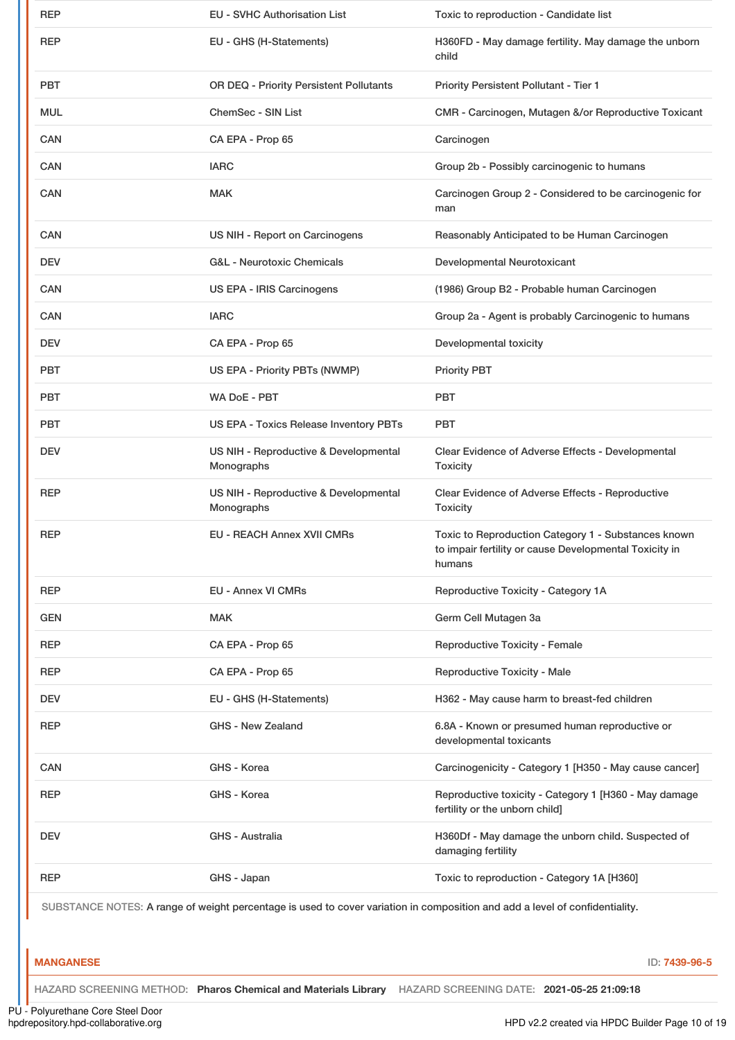| <b>REP</b>                                                                                                                  | <b>EU - SVHC Authorisation List</b>                 | Toxic to reproduction - Candidate list                                                                                  |  |  |
|-----------------------------------------------------------------------------------------------------------------------------|-----------------------------------------------------|-------------------------------------------------------------------------------------------------------------------------|--|--|
| <b>REP</b>                                                                                                                  | EU - GHS (H-Statements)                             | H360FD - May damage fertility. May damage the unborn<br>child                                                           |  |  |
| <b>PBT</b>                                                                                                                  | OR DEQ - Priority Persistent Pollutants             | Priority Persistent Pollutant - Tier 1                                                                                  |  |  |
| <b>MUL</b>                                                                                                                  | <b>ChemSec - SIN List</b>                           | CMR - Carcinogen, Mutagen &/or Reproductive Toxicant                                                                    |  |  |
| <b>CAN</b>                                                                                                                  | CA EPA - Prop 65                                    | Carcinogen                                                                                                              |  |  |
| <b>CAN</b>                                                                                                                  | <b>IARC</b>                                         | Group 2b - Possibly carcinogenic to humans                                                                              |  |  |
| <b>CAN</b>                                                                                                                  | <b>MAK</b>                                          | Carcinogen Group 2 - Considered to be carcinogenic for<br>man                                                           |  |  |
| <b>CAN</b>                                                                                                                  | US NIH - Report on Carcinogens                      | Reasonably Anticipated to be Human Carcinogen                                                                           |  |  |
| <b>DEV</b>                                                                                                                  | G&L - Neurotoxic Chemicals                          | Developmental Neurotoxicant                                                                                             |  |  |
| <b>CAN</b>                                                                                                                  | US EPA - IRIS Carcinogens                           | (1986) Group B2 - Probable human Carcinogen                                                                             |  |  |
| <b>CAN</b>                                                                                                                  | <b>IARC</b>                                         | Group 2a - Agent is probably Carcinogenic to humans                                                                     |  |  |
| <b>DEV</b>                                                                                                                  | CA EPA - Prop 65                                    | Developmental toxicity                                                                                                  |  |  |
| <b>PBT</b>                                                                                                                  | US EPA - Priority PBTs (NWMP)                       | <b>Priority PBT</b>                                                                                                     |  |  |
| <b>PBT</b>                                                                                                                  | WA DoE - PBT                                        | <b>PBT</b>                                                                                                              |  |  |
| <b>PBT</b>                                                                                                                  | US EPA - Toxics Release Inventory PBTs              | <b>PBT</b>                                                                                                              |  |  |
| <b>DEV</b>                                                                                                                  | US NIH - Reproductive & Developmental<br>Monographs | Clear Evidence of Adverse Effects - Developmental<br><b>Toxicity</b>                                                    |  |  |
| <b>REP</b>                                                                                                                  | US NIH - Reproductive & Developmental<br>Monographs | Clear Evidence of Adverse Effects - Reproductive<br><b>Toxicity</b>                                                     |  |  |
| <b>REP</b>                                                                                                                  | <b>EU - REACH Annex XVII CMRs</b>                   | Toxic to Reproduction Category 1 - Substances known<br>to impair fertility or cause Developmental Toxicity in<br>humans |  |  |
| <b>REP</b>                                                                                                                  | <b>EU - Annex VI CMRs</b>                           | Reproductive Toxicity - Category 1A                                                                                     |  |  |
| <b>GEN</b>                                                                                                                  | <b>MAK</b>                                          | Germ Cell Mutagen 3a                                                                                                    |  |  |
| <b>REP</b>                                                                                                                  | CA EPA - Prop 65                                    | <b>Reproductive Toxicity - Female</b>                                                                                   |  |  |
| <b>REP</b>                                                                                                                  | CA EPA - Prop 65                                    | <b>Reproductive Toxicity - Male</b>                                                                                     |  |  |
| <b>DEV</b>                                                                                                                  | EU - GHS (H-Statements)                             | H362 - May cause harm to breast-fed children                                                                            |  |  |
| <b>REP</b>                                                                                                                  | <b>GHS - New Zealand</b>                            | 6.8A - Known or presumed human reproductive or<br>developmental toxicants                                               |  |  |
| CAN                                                                                                                         | GHS - Korea                                         | Carcinogenicity - Category 1 [H350 - May cause cancer]                                                                  |  |  |
| <b>REP</b>                                                                                                                  | GHS - Korea                                         | Reproductive toxicity - Category 1 [H360 - May damage<br>fertility or the unborn child]                                 |  |  |
| <b>DEV</b>                                                                                                                  | GHS - Australia                                     | H360Df - May damage the unborn child. Suspected of<br>damaging fertility                                                |  |  |
| <b>REP</b>                                                                                                                  | GHS - Japan                                         | Toxic to reproduction - Category 1A [H360]                                                                              |  |  |
| SUBSTANCE NOTES: A range of weight percentage is used to cover variation in composition and add a level of confidentiality. |                                                     |                                                                                                                         |  |  |

#### **MANGANESE** ID: **7439-96-5**

HAZARD SCREENING METHOD: **Pharos Chemical and Materials Library** HAZARD SCREENING DATE: **2021-05-25 21:09:18**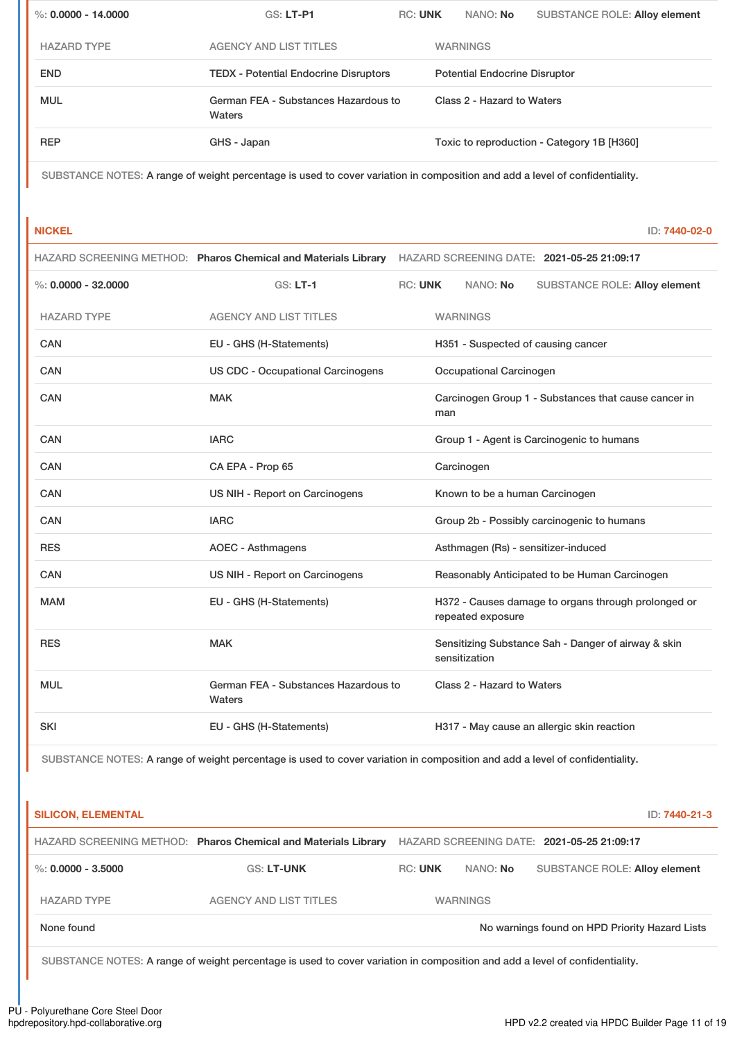| %: $0.0000 - 14.0000$ | $GS: LT-P1$                                    | <b>RC: UNK</b> | NANO: No                             | <b>SUBSTANCE ROLE: Alloy element</b>       |  |
|-----------------------|------------------------------------------------|----------------|--------------------------------------|--------------------------------------------|--|
| <b>HAZARD TYPE</b>    | <b>AGENCY AND LIST TITLES</b>                  |                | <b>WARNINGS</b>                      |                                            |  |
| <b>END</b>            | <b>TEDX - Potential Endocrine Disruptors</b>   |                | <b>Potential Endocrine Disruptor</b> |                                            |  |
| <b>MUL</b>            | German FEA - Substances Hazardous to<br>Waters |                | Class 2 - Hazard to Waters           |                                            |  |
| <b>REP</b>            | GHS - Japan                                    |                |                                      | Toxic to reproduction - Category 1B [H360] |  |

SUBSTANCE NOTES: A range of weight percentage is used to cover variation in composition and add a level of confidentiality.

**NICKEL** ID: **7440-02-0**

|                         |                                                | HAZARD SCREENING METHOD: Pharos Chemical and Materials Library HAZARD SCREENING DATE: 2021-05-25 21:09:17 |                                                      |                                |                                                     |  |
|-------------------------|------------------------------------------------|-----------------------------------------------------------------------------------------------------------|------------------------------------------------------|--------------------------------|-----------------------------------------------------|--|
| $\%$ : 0.0000 - 32.0000 | $GS: LT-1$                                     | <b>RC: UNK</b>                                                                                            |                                                      | NANO: No                       | <b>SUBSTANCE ROLE: Alloy element</b>                |  |
| <b>HAZARD TYPE</b>      | <b>AGENCY AND LIST TITLES</b>                  |                                                                                                           |                                                      | <b>WARNINGS</b>                |                                                     |  |
| CAN                     | EU - GHS (H-Statements)                        |                                                                                                           |                                                      |                                | H351 - Suspected of causing cancer                  |  |
| <b>CAN</b>              | <b>US CDC - Occupational Carcinogens</b>       |                                                                                                           |                                                      | Occupational Carcinogen        |                                                     |  |
| <b>CAN</b>              | <b>MAK</b>                                     |                                                                                                           | Carcinogen Group 1 - Substances that cause cancer in |                                |                                                     |  |
| <b>CAN</b>              | <b>IARC</b>                                    |                                                                                                           |                                                      |                                | Group 1 - Agent is Carcinogenic to humans           |  |
| <b>CAN</b>              | CA EPA - Prop 65                               | Carcinogen                                                                                                |                                                      |                                |                                                     |  |
| <b>CAN</b>              | US NIH - Report on Carcinogens                 |                                                                                                           |                                                      | Known to be a human Carcinogen |                                                     |  |
| CAN                     | <b>IARC</b>                                    |                                                                                                           |                                                      |                                | Group 2b - Possibly carcinogenic to humans          |  |
| <b>RES</b>              | <b>AOEC - Asthmagens</b>                       |                                                                                                           |                                                      |                                | Asthmagen (Rs) - sensitizer-induced                 |  |
| CAN                     | US NIH - Report on Carcinogens                 |                                                                                                           |                                                      |                                | Reasonably Anticipated to be Human Carcinogen       |  |
| <b>MAM</b>              | EU - GHS (H-Statements)                        |                                                                                                           |                                                      | repeated exposure              | H372 - Causes damage to organs through prolonged or |  |
| <b>RES</b>              | <b>MAK</b>                                     |                                                                                                           |                                                      | sensitization                  | Sensitizing Substance Sah - Danger of airway & skin |  |
| <b>MUL</b>              | German FEA - Substances Hazardous to<br>Waters |                                                                                                           |                                                      | Class 2 - Hazard to Waters     |                                                     |  |
| <b>SKI</b>              | EU - GHS (H-Statements)                        |                                                                                                           |                                                      |                                | H317 - May cause an allergic skin reaction          |  |

SUBSTANCE NOTES: A range of weight percentage is used to cover variation in composition and add a level of confidentiality.

| <b>SILICON, ELEMENTAL</b> |                                                                |                |                 | ID: 7440-21-3                                  |
|---------------------------|----------------------------------------------------------------|----------------|-----------------|------------------------------------------------|
|                           | HAZARD SCREENING METHOD: Pharos Chemical and Materials Library |                |                 | HAZARD SCREENING DATE: 2021-05-25 21:09:17     |
| %: $0.0000 - 3.5000$      | <b>GS: LT-UNK</b>                                              | <b>RC: UNK</b> | NANO: No        | <b>SUBSTANCE ROLE: Alloy element</b>           |
| <b>HAZARD TYPE</b>        | <b>AGENCY AND LIST TITLES</b>                                  |                | <b>WARNINGS</b> |                                                |
| None found                |                                                                |                |                 | No warnings found on HPD Priority Hazard Lists |

SUBSTANCE NOTES: A range of weight percentage is used to cover variation in composition and add a level of confidentiality.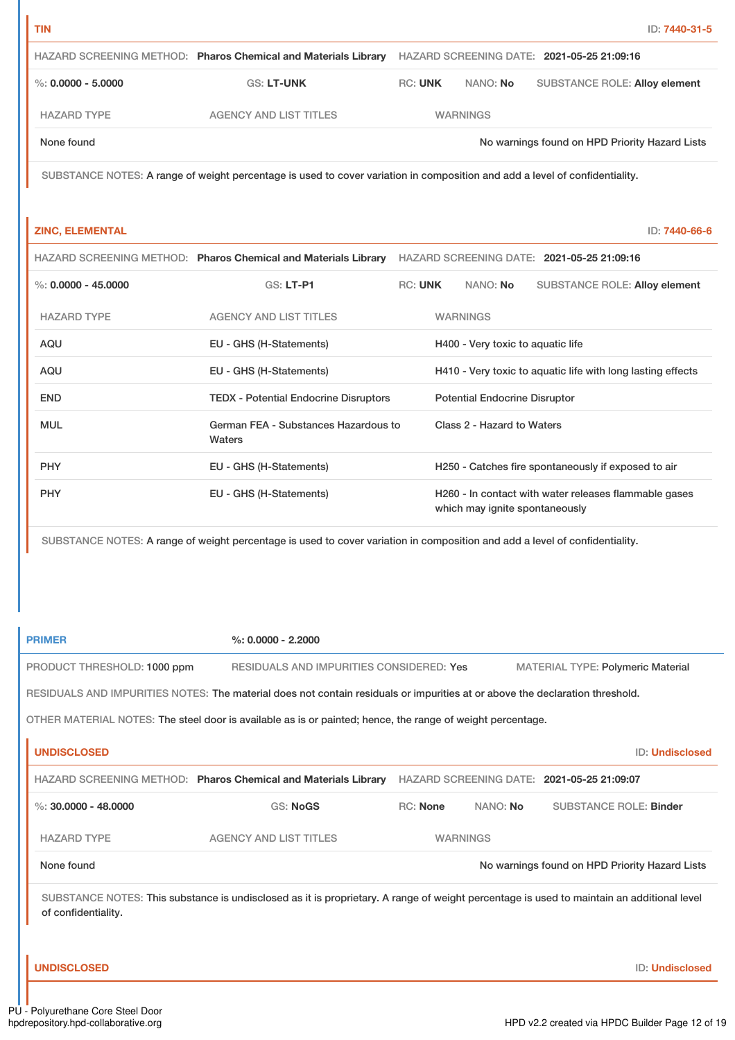|                        | HAZARD SCREENING METHOD: Pharos Chemical and Materials Library |                |                 | HAZARD SCREENING DATE: 2021-05-25 21:09:16     |
|------------------------|----------------------------------------------------------------|----------------|-----------------|------------------------------------------------|
| $\%$ : 0.0000 - 5.0000 | <b>GS: LT-UNK</b>                                              | <b>RC: UNK</b> | NANO: No        | <b>SUBSTANCE ROLE: Alloy element</b>           |
| <b>HAZARD TYPE</b>     | <b>AGENCY AND LIST TITLES</b>                                  |                | <b>WARNINGS</b> |                                                |
| None found             |                                                                |                |                 | No warnings found on HPD Priority Hazard Lists |

SUBSTANCE NOTES: A range of weight percentage is used to cover variation in composition and add a level of confidentiality.

#### **ZINC, ELEMENTAL** ID: **7440-66-6**

|                       | HAZARD SCREENING METHOD: Pharos Chemical and Materials Library |                |                                      | HAZARD SCREENING DATE: 2021-05-25 21:09:16                  |
|-----------------------|----------------------------------------------------------------|----------------|--------------------------------------|-------------------------------------------------------------|
| %: $0.0000 - 45.0000$ | <b>GS: LT-P1</b>                                               | <b>RC: UNK</b> | NANO: No                             | <b>SUBSTANCE ROLE: Alloy element</b>                        |
| <b>HAZARD TYPE</b>    | <b>AGENCY AND LIST TITLES</b>                                  |                | <b>WARNINGS</b>                      |                                                             |
| <b>AQU</b>            | EU - GHS (H-Statements)                                        |                | H400 - Very toxic to aquatic life    |                                                             |
| AQU                   | EU - GHS (H-Statements)                                        |                |                                      | H410 - Very toxic to aquatic life with long lasting effects |
| <b>END</b>            | <b>TEDX - Potential Endocrine Disruptors</b>                   |                | <b>Potential Endocrine Disruptor</b> |                                                             |
| <b>MUL</b>            | German FEA - Substances Hazardous to<br>Waters                 |                | Class 2 - Hazard to Waters           |                                                             |
| <b>PHY</b>            | EU - GHS (H-Statements)                                        |                |                                      | H250 - Catches fire spontaneously if exposed to air         |
| <b>PHY</b>            | EU - GHS (H-Statements)                                        |                | which may ignite spontaneously       | H260 - In contact with water releases flammable gases       |

SUBSTANCE NOTES: A range of weight percentage is used to cover variation in composition and add a level of confidentiality.

**PRIMER %: 0.0000 - 2.2000** PRODUCT THRESHOLD: 1000 ppm RESIDUALS AND IMPURITIES CONSIDERED: Yes MATERIAL TYPE: Polymeric Material RESIDUALS AND IMPURITIES NOTES: The material does not contain residuals or impurities at or above the declaration threshold. OTHER MATERIAL NOTES: The steel door is available as is or painted; hence, the range of weight percentage.

| <b>UNDISCLOSED</b>     |                                                                |                 |          | <b>ID: Undisclosed</b>                         |
|------------------------|----------------------------------------------------------------|-----------------|----------|------------------------------------------------|
|                        | HAZARD SCREENING METHOD: Pharos Chemical and Materials Library |                 |          | HAZARD SCREENING DATE: 2021-05-25 21:09:07     |
| %: $30.0000 - 48.0000$ | GS: NoGS                                                       | RC: None        | NANO: No | <b>SUBSTANCE ROLE: Binder</b>                  |
| <b>HAZARD TYPE</b>     | <b>AGENCY AND LIST TITLES</b>                                  | <b>WARNINGS</b> |          |                                                |
| None found             |                                                                |                 |          | No warnings found on HPD Priority Hazard Lists |

SUBSTANCE NOTES: This substance is undisclosed as it is proprietary. A range of weight percentage is used to maintain an additional level of confidentiality.

#### **UNDISCLOSED** ID: **Undisclosed**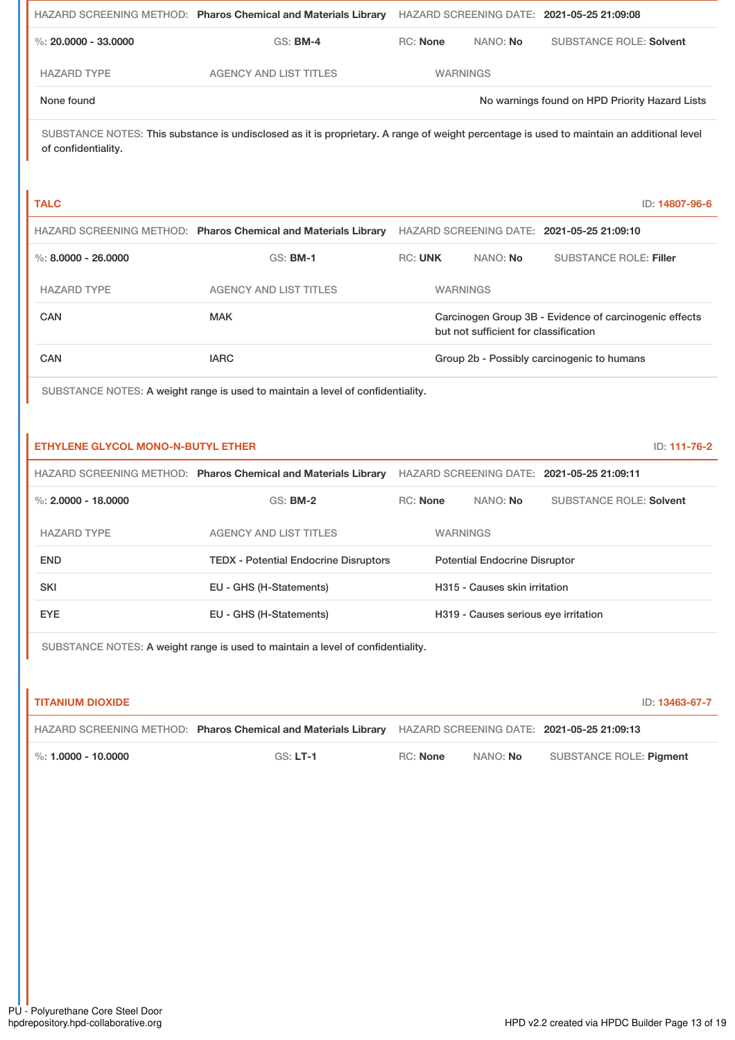|                                           | HAZARD SCREENING METHOD: Pharos Chemical and Materials Library HAZARD SCREENING DATE: 2021-05-25 21:09:08                                 |                                                                                                 |                                      |                                                |
|-------------------------------------------|-------------------------------------------------------------------------------------------------------------------------------------------|-------------------------------------------------------------------------------------------------|--------------------------------------|------------------------------------------------|
| %: $20.0000 - 33.0000$                    | <b>GS: BM-4</b>                                                                                                                           | RC: None                                                                                        | NANO: No                             | <b>SUBSTANCE ROLE: Solvent</b>                 |
| <b>HAZARD TYPE</b>                        | <b>AGENCY AND LIST TITLES</b>                                                                                                             | <b>WARNINGS</b>                                                                                 |                                      |                                                |
| None found                                |                                                                                                                                           |                                                                                                 |                                      | No warnings found on HPD Priority Hazard Lists |
| of confidentiality.                       | SUBSTANCE NOTES: This substance is undisclosed as it is proprietary. A range of weight percentage is used to maintain an additional level |                                                                                                 |                                      |                                                |
| <b>TALC</b>                               |                                                                                                                                           |                                                                                                 |                                      | ID: 14807-96-6                                 |
|                                           | HAZARD SCREENING METHOD: Pharos Chemical and Materials Library                                                                            |                                                                                                 |                                      | HAZARD SCREENING DATE: 2021-05-25 21:09:10     |
| $\%$ : 8.0000 - 26.0000                   | <b>GS: BM-1</b>                                                                                                                           | <b>RC: UNK</b>                                                                                  | NANO: No                             | <b>SUBSTANCE ROLE: Filler</b>                  |
| <b>HAZARD TYPE</b>                        | <b>AGENCY AND LIST TITLES</b>                                                                                                             | <b>WARNINGS</b>                                                                                 |                                      |                                                |
| CAN                                       | <b>MAK</b>                                                                                                                                | Carcinogen Group 3B - Evidence of carcinogenic effects<br>but not sufficient for classification |                                      |                                                |
| CAN                                       | <b>IARC</b>                                                                                                                               |                                                                                                 |                                      | Group 2b - Possibly carcinogenic to humans     |
| <b>ETHYLENE GLYCOL MONO-N-BUTYL ETHER</b> | SUBSTANCE NOTES: A weight range is used to maintain a level of confidentiality.                                                           |                                                                                                 |                                      | ID: 111-76-2                                   |
|                                           | HAZARD SCREENING METHOD: Pharos Chemical and Materials Library                                                                            |                                                                                                 |                                      | HAZARD SCREENING DATE: 2021-05-25 21:09:11     |
| %: $2.0000 - 18.0000$                     | <b>GS: BM-2</b>                                                                                                                           | <b>RC: None</b>                                                                                 | NANO: No                             | <b>SUBSTANCE ROLE: Solvent</b>                 |
| <b>HAZARD TYPE</b>                        | <b>AGENCY AND LIST TITLES</b>                                                                                                             | <b>WARNINGS</b>                                                                                 |                                      |                                                |
| <b>END</b>                                | <b>TEDX - Potential Endocrine Disruptors</b>                                                                                              |                                                                                                 | <b>Potential Endocrine Disruptor</b> |                                                |
| SKI                                       | EU - GHS (H-Statements)                                                                                                                   | H315 - Causes skin irritation                                                                   |                                      |                                                |
| <b>EYE</b>                                | EU - GHS (H-Statements)                                                                                                                   |                                                                                                 |                                      | H319 - Causes serious eye irritation           |
|                                           | SUBSTANCE NOTES: A weight range is used to maintain a level of confidentiality.                                                           |                                                                                                 |                                      |                                                |
| <b>TITANIUM DIOXIDE</b>                   |                                                                                                                                           |                                                                                                 |                                      | ID: 13463-67-7                                 |
|                                           | HAZARD SCREENING METHOD: Pharos Chemical and Materials Library                                                                            |                                                                                                 |                                      | HAZARD SCREENING DATE: 2021-05-25 21:09:13     |
| %: 1.0000 - 10.0000                       | <b>GS: LT-1</b>                                                                                                                           | RC: None                                                                                        | NANO: No                             | <b>SUBSTANCE ROLE: Pigment</b>                 |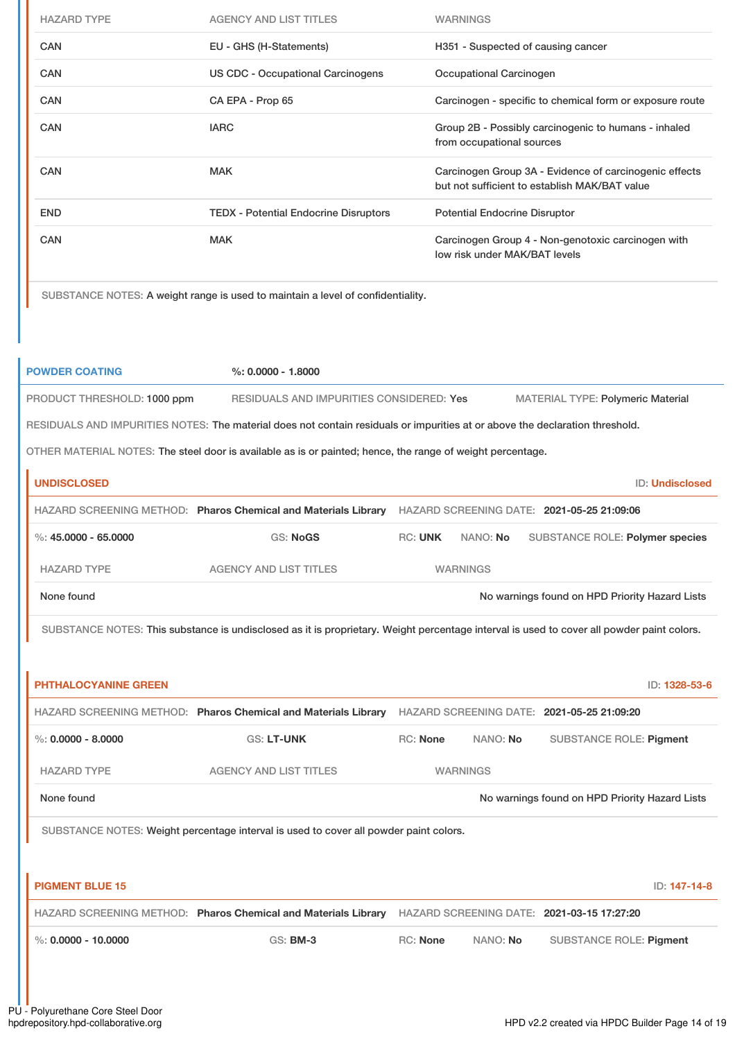| <b>HAZARD TYPE</b> | <b>AGENCY AND LIST TITLES</b>                | <b>WARNINGS</b>                                                                                         |
|--------------------|----------------------------------------------|---------------------------------------------------------------------------------------------------------|
| <b>CAN</b>         | EU - GHS (H-Statements)                      | H351 - Suspected of causing cancer                                                                      |
| <b>CAN</b>         | US CDC - Occupational Carcinogens            | Occupational Carcinogen                                                                                 |
| <b>CAN</b>         | CA EPA - Prop 65                             | Carcinogen - specific to chemical form or exposure route                                                |
| <b>CAN</b>         | <b>IARC</b>                                  | Group 2B - Possibly carcinogenic to humans - inhaled<br>from occupational sources                       |
| <b>CAN</b>         | <b>MAK</b>                                   | Carcinogen Group 3A - Evidence of carcinogenic effects<br>but not sufficient to establish MAK/BAT value |
| <b>END</b>         | <b>TEDX - Potential Endocrine Disruptors</b> | <b>Potential Endocrine Disruptor</b>                                                                    |
| <b>CAN</b>         | <b>MAK</b>                                   | Carcinogen Group 4 - Non-genotoxic carcinogen with<br>low risk under MAK/BAT levels                     |

SUBSTANCE NOTES: A weight range is used to maintain a level of confidentiality.

| <b>POWDER COATING</b>                                                                                                        | $\%$ : 0.0000 - 1.8000                   |                |                 |                                                |  |  |
|------------------------------------------------------------------------------------------------------------------------------|------------------------------------------|----------------|-----------------|------------------------------------------------|--|--|
| PRODUCT THRESHOLD: 1000 ppm                                                                                                  | RESIDUALS AND IMPURITIES CONSIDERED: Yes |                |                 | <b>MATERIAL TYPE: Polymeric Material</b>       |  |  |
| RESIDUALS AND IMPURITIES NOTES: The material does not contain residuals or impurities at or above the declaration threshold. |                                          |                |                 |                                                |  |  |
| OTHER MATERIAL NOTES: The steel door is available as is or painted; hence, the range of weight percentage.                   |                                          |                |                 |                                                |  |  |
| <b>UNDISCLOSED</b>                                                                                                           |                                          |                |                 | <b>ID: Undisclosed</b>                         |  |  |
| HAZARD SCREENING METHOD: Pharos Chemical and Materials Library                                                               |                                          |                |                 | HAZARD SCREENING DATE: 2021-05-25 21:09:06     |  |  |
| %: $45.0000 - 65.0000$                                                                                                       | <b>GS: NoGS</b>                          | <b>RC: UNK</b> | NANO: No        | <b>SUBSTANCE ROLE: Polymer species</b>         |  |  |
| <b>HAZARD TYPE</b>                                                                                                           | <b>AGENCY AND LIST TITLES</b>            |                | <b>WARNINGS</b> |                                                |  |  |
| None found                                                                                                                   |                                          |                |                 | No warnings found on HPD Priority Hazard Lists |  |  |

SUBSTANCE NOTES: This substance is undisclosed as it is proprietary. Weight percentage interval is used to cover all powder paint colors.

| <b>PHTHALOCYANINE GREEN</b> |                                                                                       |                 |                 |                                                | ID: 1328-53-6 |
|-----------------------------|---------------------------------------------------------------------------------------|-----------------|-----------------|------------------------------------------------|---------------|
|                             | HAZARD SCREENING METHOD: Pharos Chemical and Materials Library                        |                 |                 | HAZARD SCREENING DATE: 2021-05-25 21:09:20     |               |
| $\%: 0.0000 - 8.0000$       | <b>GS: LT-UNK</b>                                                                     | <b>RC: None</b> | NANO: No        | <b>SUBSTANCE ROLE: Pigment</b>                 |               |
| <b>HAZARD TYPE</b>          | <b>AGENCY AND LIST TITLES</b>                                                         |                 | <b>WARNINGS</b> |                                                |               |
| None found                  |                                                                                       |                 |                 | No warnings found on HPD Priority Hazard Lists |               |
|                             | SUBSTANCE NOTES: Weight percentage interval is used to cover all powder paint colors. |                 |                 |                                                |               |
|                             |                                                                                       |                 |                 |                                                |               |
| <b>PIGMENT BLUE 15</b>      |                                                                                       |                 |                 |                                                | ID: 147-14-8  |
|                             | HAZARD SCREENING METHOD: Pharos Chemical and Materials Library                        |                 |                 | HAZARD SCREENING DATE: 2021-03-15 17:27:20     |               |
| $\%$ : 0.0000 - 10.0000     | <b>GS: BM-3</b>                                                                       | <b>RC: None</b> | NANO: No        | <b>SUBSTANCE ROLE: Pigment</b>                 |               |
|                             |                                                                                       |                 |                 |                                                |               |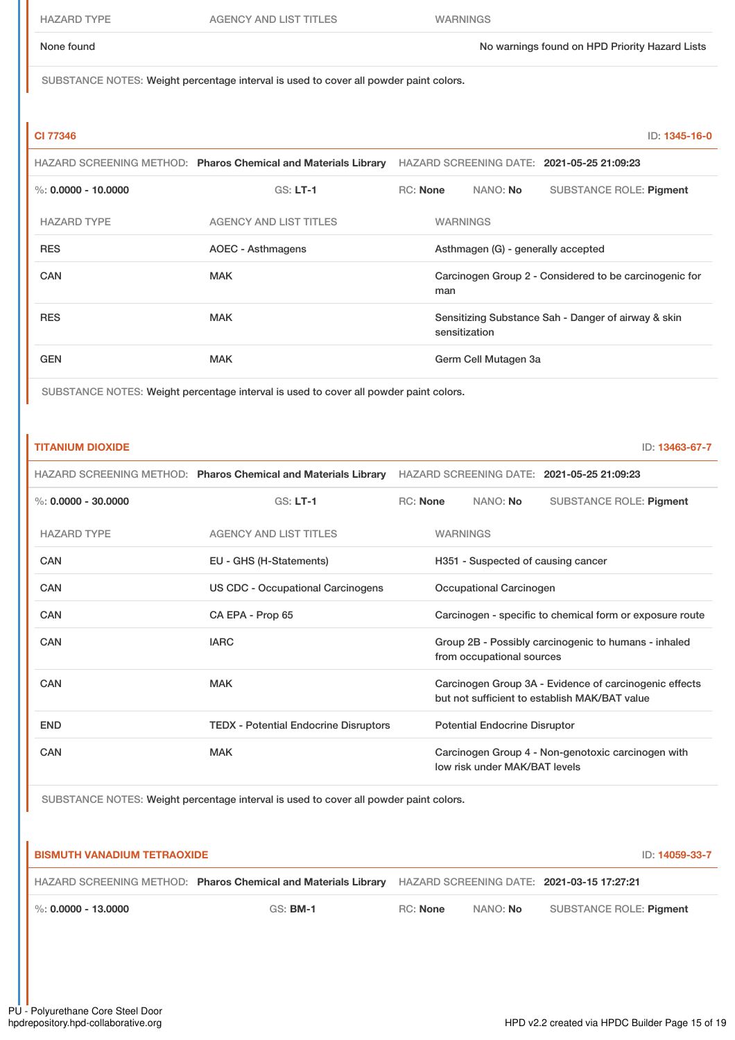SUBSTANCE NOTES: Weight percentage interval is used to cover all powder paint colors.

### **CI 77346** ID: **1345-16-0**

|                       | HAZARD SCREENING METHOD: Pharos Chemical and Materials Library |                                                               |               |                      | HAZARD SCREENING DATE: 2021-05-25 21:09:23          |
|-----------------------|----------------------------------------------------------------|---------------------------------------------------------------|---------------|----------------------|-----------------------------------------------------|
| %: $0.0000 - 10.0000$ | $GS: LT-1$                                                     | $RC:$ None                                                    |               | NANO: <b>No</b>      | <b>SUBSTANCE ROLE: Pigment</b>                      |
| <b>HAZARD TYPE</b>    | <b>AGENCY AND LIST TITLES</b>                                  | <b>WARNINGS</b>                                               |               |                      |                                                     |
| <b>RES</b>            | AOEC - Asthmagens                                              | Asthmagen (G) - generally accepted                            |               |                      |                                                     |
| CAN                   | <b>MAK</b>                                                     | Carcinogen Group 2 - Considered to be carcinogenic for<br>man |               |                      |                                                     |
| <b>RES</b>            | <b>MAK</b>                                                     |                                                               | sensitization |                      | Sensitizing Substance Sah - Danger of airway & skin |
| <b>GEN</b>            | <b>MAK</b>                                                     |                                                               |               | Germ Cell Mutagen 3a |                                                     |

SUBSTANCE NOTES: Weight percentage interval is used to cover all powder paint colors.

| <b>TITANIUM DIOXIDE</b> |                                                                | ID: 13463-67-7                                                                                          |
|-------------------------|----------------------------------------------------------------|---------------------------------------------------------------------------------------------------------|
|                         | HAZARD SCREENING METHOD: Pharos Chemical and Materials Library | HAZARD SCREENING DATE: 2021-05-25 21:09:23                                                              |
| %: $0.0000 - 30.0000$   | $GS: LT-1$                                                     | RC: None<br>NANO: No<br><b>SUBSTANCE ROLE: Pigment</b>                                                  |
| <b>HAZARD TYPE</b>      | <b>AGENCY AND LIST TITLES</b>                                  | <b>WARNINGS</b>                                                                                         |
| CAN                     | EU - GHS (H-Statements)                                        | H351 - Suspected of causing cancer                                                                      |
| <b>CAN</b>              | US CDC - Occupational Carcinogens                              | Occupational Carcinogen                                                                                 |
| CAN                     | CA EPA - Prop 65                                               | Carcinogen - specific to chemical form or exposure route                                                |
| CAN                     | <b>IARC</b>                                                    | Group 2B - Possibly carcinogenic to humans - inhaled<br>from occupational sources                       |
| CAN                     | <b>MAK</b>                                                     | Carcinogen Group 3A - Evidence of carcinogenic effects<br>but not sufficient to establish MAK/BAT value |
| <b>END</b>              | <b>TEDX - Potential Endocrine Disruptors</b>                   | <b>Potential Endocrine Disruptor</b>                                                                    |
| CAN                     | <b>MAK</b>                                                     | Carcinogen Group 4 - Non-genotoxic carcinogen with<br>low risk under MAK/BAT levels                     |

SUBSTANCE NOTES: Weight percentage interval is used to cover all powder paint colors.

# **BISMUTH VANADIUM TETRAOXIDE** ID: **14059-33-7** HAZARD SCREENING METHOD: **Pharos Chemical and Materials Library** HAZARD SCREENING DATE: **2021-03-15 17:27:21** %: **0.0000 - 13.0000** GS: **BM-1** RC: **None** NANO: **No** SUBSTANCE ROLE: **Pigment**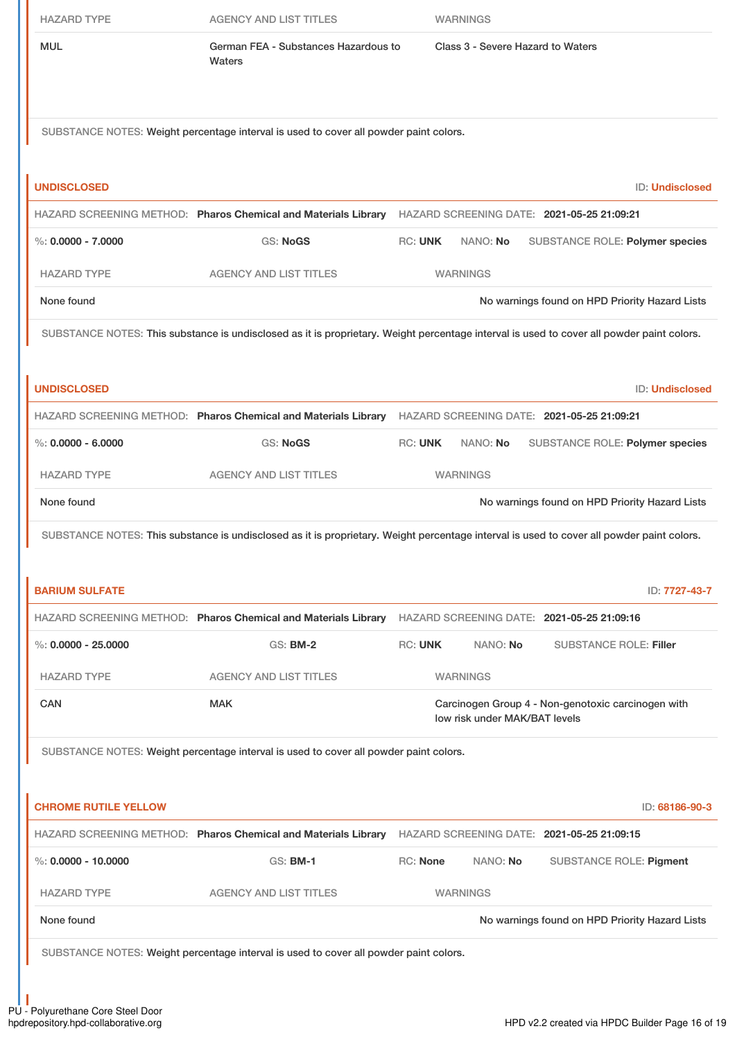|                                  | <b>AGENCY AND LIST TITLES</b>                                                                                                             |                 | <b>WARNINGS</b>                   |                                                    |
|----------------------------------|-------------------------------------------------------------------------------------------------------------------------------------------|-----------------|-----------------------------------|----------------------------------------------------|
| <b>MUL</b>                       | German FEA - Substances Hazardous to<br>Waters                                                                                            |                 | Class 3 - Severe Hazard to Waters |                                                    |
|                                  | SUBSTANCE NOTES: Weight percentage interval is used to cover all powder paint colors.                                                     |                 |                                   |                                                    |
| <b>UNDISCLOSED</b>               |                                                                                                                                           |                 |                                   | ID: Undisclosed                                    |
|                                  | HAZARD SCREENING METHOD: Pharos Chemical and Materials Library HAZARD SCREENING DATE: 2021-05-25 21:09:21                                 |                 |                                   |                                                    |
| $\%$ : 0.0000 - 7.0000           | <b>GS: NoGS</b>                                                                                                                           | <b>RC: UNK</b>  | NANO: No                          | SUBSTANCE ROLE: Polymer species                    |
| <b>HAZARD TYPE</b>               | <b>AGENCY AND LIST TITLES</b>                                                                                                             |                 | <b>WARNINGS</b>                   |                                                    |
| None found                       |                                                                                                                                           |                 |                                   | No warnings found on HPD Priority Hazard Lists     |
|                                  | SUBSTANCE NOTES: This substance is undisclosed as it is proprietary. Weight percentage interval is used to cover all powder paint colors. |                 |                                   |                                                    |
|                                  |                                                                                                                                           |                 |                                   |                                                    |
| <b>UNDISCLOSED</b>               |                                                                                                                                           |                 |                                   | ID: Undisclosed                                    |
|                                  | HAZARD SCREENING METHOD: Pharos Chemical and Materials Library HAZARD SCREENING DATE: 2021-05-25 21:09:21                                 |                 |                                   |                                                    |
| $\%: 0.0000 - 6.0000$            | <b>GS: NoGS</b>                                                                                                                           | <b>RC: UNK</b>  | NANO: No                          | SUBSTANCE ROLE: Polymer species                    |
| <b>HAZARD TYPE</b>               | <b>AGENCY AND LIST TITLES</b>                                                                                                             |                 | <b>WARNINGS</b>                   |                                                    |
|                                  |                                                                                                                                           |                 |                                   |                                                    |
|                                  |                                                                                                                                           |                 |                                   | No warnings found on HPD Priority Hazard Lists     |
|                                  | SUBSTANCE NOTES: This substance is undisclosed as it is proprietary. Weight percentage interval is used to cover all powder paint colors. |                 |                                   |                                                    |
| None found                       |                                                                                                                                           |                 |                                   |                                                    |
| <b>BARIUM SULFATE</b>            |                                                                                                                                           |                 |                                   | ID: 7727-43-7                                      |
|                                  | HAZARD SCREENING METHOD: Pharos Chemical and Materials Library HAZARD SCREENING DATE: 2021-05-25 21:09:16                                 |                 |                                   |                                                    |
| $\%$ : 0.0000 - 25.0000          | <b>GS: BM-2</b>                                                                                                                           | <b>RC: UNK</b>  | NANO: No                          | <b>SUBSTANCE ROLE: Filler</b>                      |
|                                  | <b>AGENCY AND LIST TITLES</b>                                                                                                             |                 | <b>WARNINGS</b>                   |                                                    |
|                                  | <b>MAK</b>                                                                                                                                |                 | low risk under MAK/BAT levels     | Carcinogen Group 4 - Non-genotoxic carcinogen with |
|                                  | SUBSTANCE NOTES: Weight percentage interval is used to cover all powder paint colors.                                                     |                 |                                   |                                                    |
| <b>HAZARD TYPE</b><br><b>CAN</b> |                                                                                                                                           |                 |                                   |                                                    |
| <b>CHROME RUTILE YELLOW</b>      |                                                                                                                                           |                 |                                   | ID: 68186-90-3                                     |
|                                  | HAZARD SCREENING METHOD: Pharos Chemical and Materials Library HAZARD SCREENING DATE: 2021-05-25 21:09:15                                 |                 |                                   |                                                    |
| $\%$ : 0.0000 - 10.0000          | <b>GS: BM-1</b>                                                                                                                           | <b>RC: None</b> | NANO: No                          | <b>SUBSTANCE ROLE: Pigment</b>                     |
| <b>HAZARD TYPE</b>               | <b>AGENCY AND LIST TITLES</b>                                                                                                             |                 | <b>WARNINGS</b>                   |                                                    |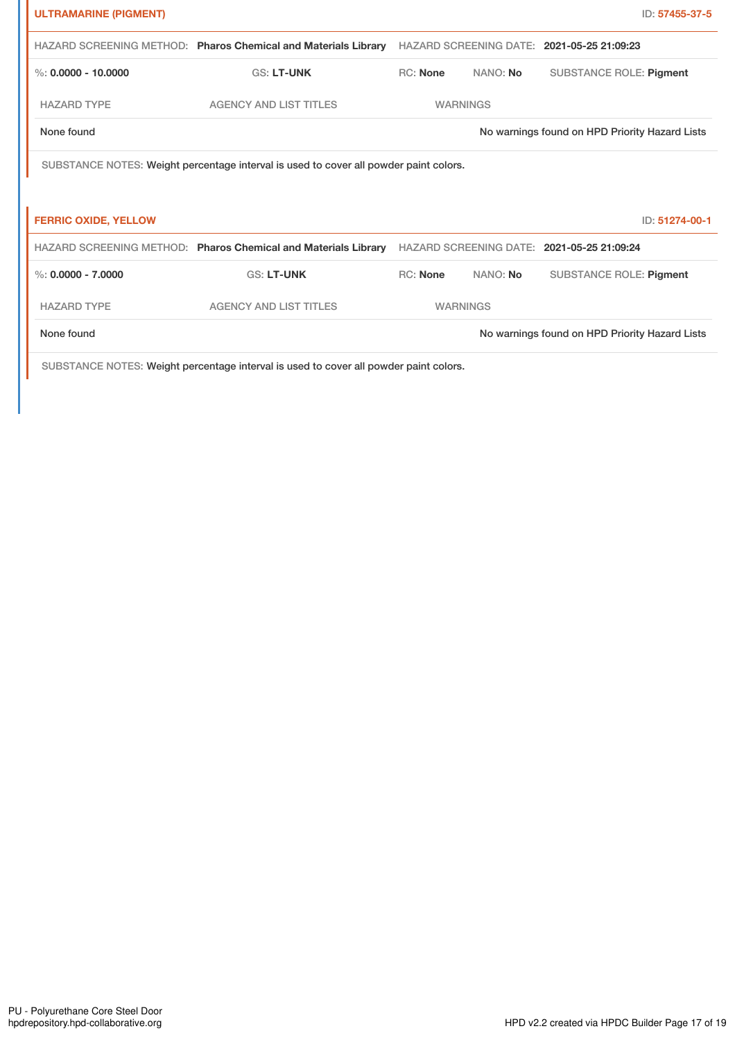| <b>ULTRAMARINE (PIGMENT)</b>                                                          |                                                                |                                            |                 |                                                | ID: 57455-37-5 |
|---------------------------------------------------------------------------------------|----------------------------------------------------------------|--------------------------------------------|-----------------|------------------------------------------------|----------------|
|                                                                                       | HAZARD SCREENING METHOD: Pharos Chemical and Materials Library | HAZARD SCREENING DATE: 2021-05-25 21:09:23 |                 |                                                |                |
| %: $0.0000 - 10.0000$                                                                 | <b>GS: LT-UNK</b>                                              | <b>RC: None</b>                            | NANO: No        | <b>SUBSTANCE ROLE: Pigment</b>                 |                |
| <b>HAZARD TYPE</b>                                                                    | <b>AGENCY AND LIST TITLES</b>                                  | <b>WARNINGS</b>                            |                 |                                                |                |
| None found                                                                            |                                                                |                                            |                 | No warnings found on HPD Priority Hazard Lists |                |
| SUBSTANCE NOTES: Weight percentage interval is used to cover all powder paint colors. |                                                                |                                            |                 |                                                |                |
|                                                                                       |                                                                |                                            |                 |                                                |                |
| <b>FERRIC OXIDE, YELLOW</b>                                                           |                                                                |                                            |                 |                                                | ID: 51274-00-1 |
|                                                                                       | HAZARD SCREENING METHOD: Pharos Chemical and Materials Library |                                            |                 | HAZARD SCREENING DATE: 2021-05-25 21:09:24     |                |
| $\%$ : 0.0000 - 7.0000                                                                | <b>GS: LT-UNK</b>                                              | <b>RC: None</b>                            | NANO: No        | <b>SUBSTANCE ROLE: Pigment</b>                 |                |
| <b>HAZARD TYPE</b>                                                                    | <b>AGENCY AND LIST TITLES</b>                                  |                                            | <b>WARNINGS</b> |                                                |                |
| None found                                                                            |                                                                |                                            |                 | No warnings found on HPD Priority Hazard Lists |                |

SUBSTANCE NOTES: Weight percentage interval is used to cover all powder paint colors.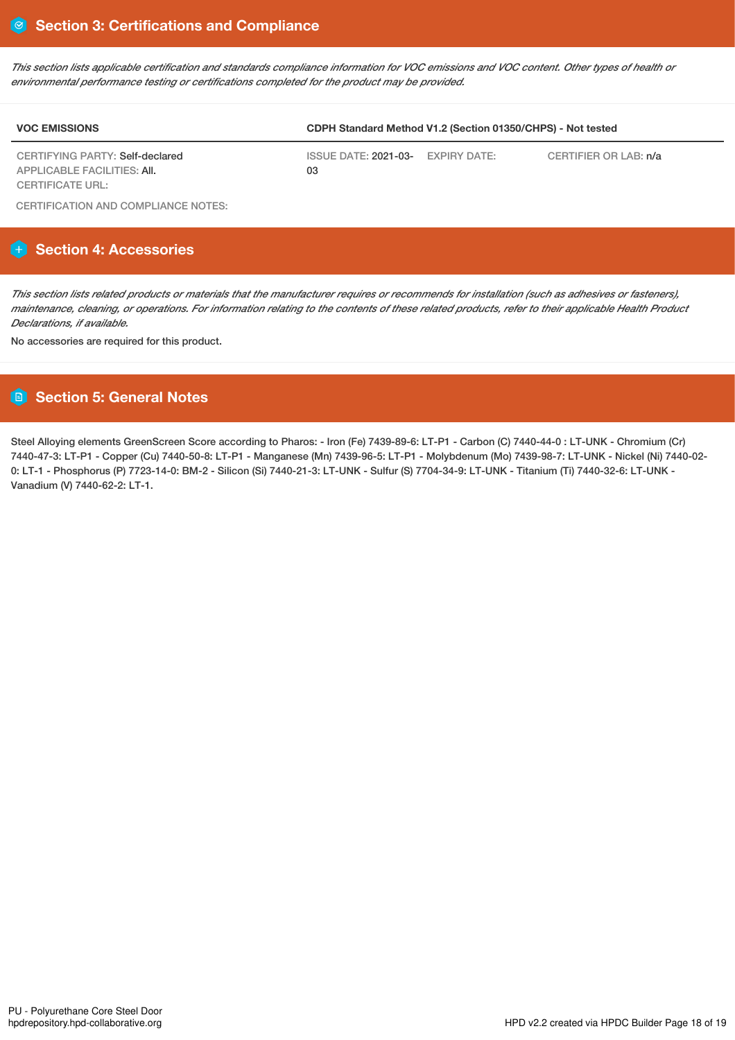This section lists applicable certification and standards compliance information for VOC emissions and VOC content. Other types of health or *environmental performance testing or certifications completed for the product may be provided.*

| <b>VOC EMISSIONS</b>                                                  | CDPH Standard Method V1.2 (Section 01350/CHPS) - Not tested |  |                       |  |
|-----------------------------------------------------------------------|-------------------------------------------------------------|--|-----------------------|--|
| CERTIFYING PARTY: Self-declared<br><b>APPLICABLE FACILITIES: AII.</b> | ISSUE DATE: 2021-03- EXPIRY DATE:<br>03                     |  | CERTIFIER OR LAB: n/a |  |
| <b>CERTIFICATE URL:</b>                                               |                                                             |  |                       |  |

CERTIFICATION AND COMPLIANCE NOTES:

# **Section 4: Accessories**

This section lists related products or materials that the manufacturer requires or recommends for installation (such as adhesives or fasteners), maintenance, cleaning, or operations. For information relating to the contents of these related products, refer to their applicable Health Product *Declarations, if available.*

No accessories are required for this product.

# **Section 5: General Notes**

Steel Alloying elements GreenScreen Score according to Pharos: - Iron (Fe) 7439-89-6: LT-P1 - Carbon (C) 7440-44-0 : LT-UNK - Chromium (Cr) 7440-47-3: LT-P1 - Copper (Cu) 7440-50-8: LT-P1 - Manganese (Mn) 7439-96-5: LT-P1 - Molybdenum (Mo) 7439-98-7: LT-UNK - Nickel (Ni) 7440-02- 0: LT-1 - Phosphorus (P) 7723-14-0: BM-2 - Silicon (Si) 7440-21-3: LT-UNK - Sulfur (S) 7704-34-9: LT-UNK - Titanium (Ti) 7440-32-6: LT-UNK - Vanadium (V) 7440-62-2: LT-1.